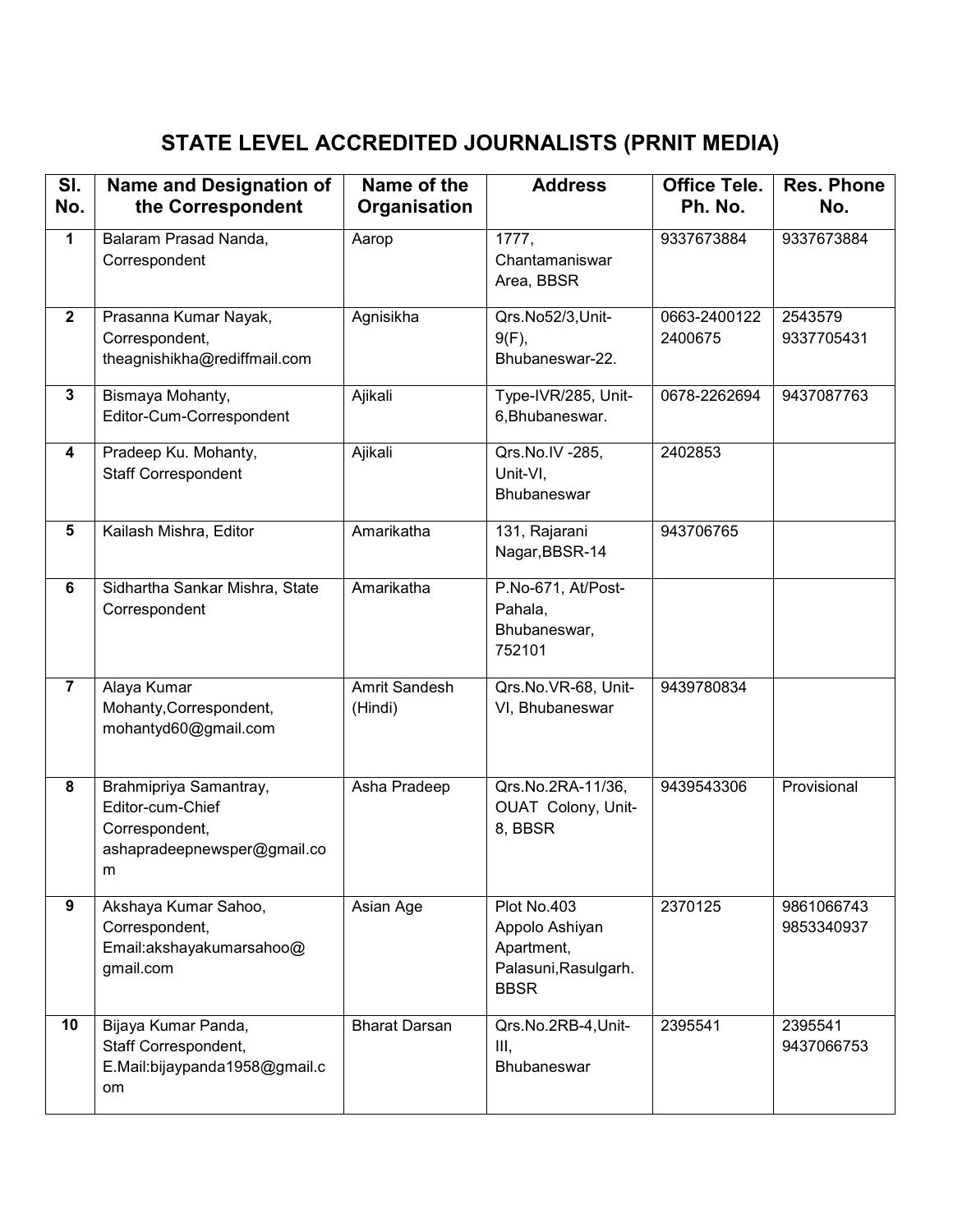## **STATE LEVEL ACCREDITED JOURNALISTS (PRNIT MEDIA)**

| SI.<br>No.     | <b>Name and Designation of</b><br>the Correspondent                                              | Name of the<br>Organisation     | <b>Address</b>                                                                     | <b>Office Tele.</b><br>Ph. No. | <b>Res. Phone</b><br>No. |
|----------------|--------------------------------------------------------------------------------------------------|---------------------------------|------------------------------------------------------------------------------------|--------------------------------|--------------------------|
| $\mathbf{1}$   | Balaram Prasad Nanda,<br>Correspondent                                                           | Aarop                           | 1777,<br>Chantamaniswar<br>Area, BBSR                                              | 9337673884                     | 9337673884               |
| $\mathbf{2}$   | Prasanna Kumar Nayak,<br>Correspondent,<br>theagnishikha@rediffmail.com                          | Agnisikha                       | Qrs.No52/3,Unit-<br>$9(F)$ ,<br>Bhubaneswar-22.                                    | 0663-2400122<br>2400675        | 2543579<br>9337705431    |
| 3              | Bismaya Mohanty,<br>Editor-Cum-Correspondent                                                     | Ajikali                         | Type-IVR/285, Unit-<br>6, Bhubaneswar.                                             | 0678-2262694                   | 9437087763               |
| 4              | Pradeep Ku. Mohanty,<br><b>Staff Correspondent</b>                                               | Ajikali                         | Qrs.No.IV -285,<br>Unit-VI,<br><b>Bhubaneswar</b>                                  | 2402853                        |                          |
| 5              | Kailash Mishra, Editor                                                                           | Amarikatha                      | 131, Rajarani<br>Nagar, BBSR-14                                                    | 943706765                      |                          |
| 6              | Sidhartha Sankar Mishra, State<br>Correspondent                                                  | Amarikatha                      | P.No-671, At/Post-<br>Pahala,<br>Bhubaneswar,<br>752101                            |                                |                          |
| $\overline{7}$ | Alaya Kumar<br>Mohanty, Correspondent,<br>mohantyd60@gmail.com                                   | <b>Amrit Sandesh</b><br>(Hindi) | Qrs.No.VR-68, Unit-<br>VI, Bhubaneswar                                             | 9439780834                     |                          |
| 8              | Brahmipriya Samantray,<br>Editor-cum-Chief<br>Correspondent,<br>ashapradeepnewsper@gmail.co<br>m | Asha Pradeep                    | Qrs.No.2RA-11/36,<br>OUAT Colony, Unit-<br>8, BBSR                                 | 9439543306                     | Provisional              |
| 9              | Akshaya Kumar Sahoo,<br>Correspondent,<br>Email:akshayakumarsahoo@<br>gmail.com                  | Asian Age                       | Plot No.403<br>Appolo Ashiyan<br>Apartment,<br>Palasuni, Rasulgarh.<br><b>BBSR</b> | 2370125                        | 9861066743<br>9853340937 |
| 10             | Bijaya Kumar Panda,<br>Staff Correspondent,<br>E.Mail:bijaypanda1958@gmail.c<br>om               | <b>Bharat Darsan</b>            | Qrs.No.2RB-4, Unit-<br>III,<br>Bhubaneswar                                         | 2395541                        | 2395541<br>9437066753    |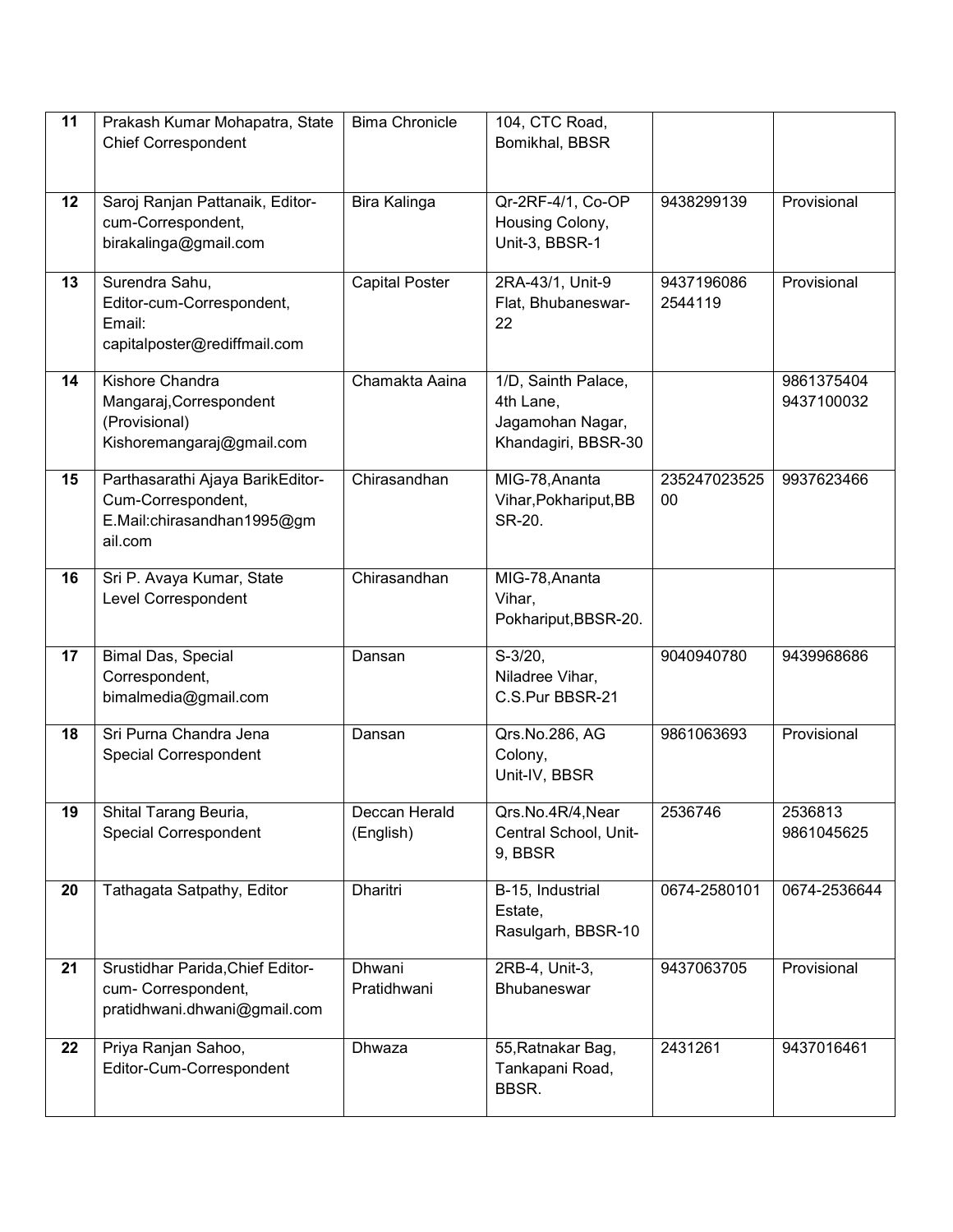| 11 | Prakash Kumar Mohapatra, State                                                                  | <b>Bima Chronicle</b>      | 104, CTC Road,<br>Bomikhal, BBSR                                            |                       |                          |
|----|-------------------------------------------------------------------------------------------------|----------------------------|-----------------------------------------------------------------------------|-----------------------|--------------------------|
|    | <b>Chief Correspondent</b>                                                                      |                            |                                                                             |                       |                          |
| 12 | Saroj Ranjan Pattanaik, Editor-<br>cum-Correspondent,<br>birakalinga@gmail.com                  | Bira Kalinga               | Qr-2RF-4/1, Co-OP<br>Housing Colony,<br>Unit-3, BBSR-1                      | 9438299139            | Provisional              |
| 13 | Surendra Sahu,<br>Editor-cum-Correspondent,<br>Email:<br>capitalposter@rediffmail.com           | <b>Capital Poster</b>      | 2RA-43/1, Unit-9<br>Flat, Bhubaneswar-<br>22                                | 9437196086<br>2544119 | Provisional              |
| 14 | Kishore Chandra<br>Mangaraj, Correspondent<br>(Provisional)<br>Kishoremangaraj@gmail.com        | Chamakta Aaina             | 1/D, Sainth Palace,<br>4th Lane,<br>Jagamohan Nagar,<br>Khandagiri, BBSR-30 |                       | 9861375404<br>9437100032 |
| 15 | Parthasarathi Ajaya BarikEditor-<br>Cum-Correspondent,<br>E.Mail:chirasandhan1995@gm<br>ail.com | Chirasandhan               | MIG-78, Ananta<br>Vihar, Pokhariput, BB<br>SR-20.                           | 235247023525<br>00    | 9937623466               |
| 16 | Sri P. Avaya Kumar, State<br>Level Correspondent                                                | Chirasandhan               | MIG-78, Ananta<br>Vihar,<br>Pokhariput, BBSR-20.                            |                       |                          |
| 17 | Bimal Das, Special<br>Correspondent,<br>bimalmedia@gmail.com                                    | Dansan                     | $S-3/20,$<br>Niladree Vihar,<br>C.S.Pur BBSR-21                             | 9040940780            | 9439968686               |
| 18 | Sri Purna Chandra Jena<br><b>Special Correspondent</b>                                          | Dansan                     | Qrs.No.286, AG<br>Colony,<br>Unit-IV, BBSR                                  | 9861063693            | Provisional              |
| 19 | Shital Tarang Beuria,<br><b>Special Correspondent</b>                                           | Deccan Herald<br>(English) | Qrs.No.4R/4,Near<br>Central School, Unit-<br>9, BBSR                        | 2536746               | 2536813<br>9861045625    |
| 20 | Tathagata Satpathy, Editor                                                                      | <b>Dharitri</b>            | B-15, Industrial<br>Estate,<br>Rasulgarh, BBSR-10                           | 0674-2580101          | 0674-2536644             |
| 21 | Srustidhar Parida, Chief Editor-<br>cum- Correspondent,<br>pratidhwani.dhwani@gmail.com         | Dhwani<br>Pratidhwani      | 2RB-4, Unit-3,<br>Bhubaneswar                                               | 9437063705            | Provisional              |
| 22 | Priya Ranjan Sahoo,<br>Editor-Cum-Correspondent                                                 | Dhwaza                     | 55, Ratnakar Bag,<br>Tankapani Road,<br>BBSR.                               | 2431261               | 9437016461               |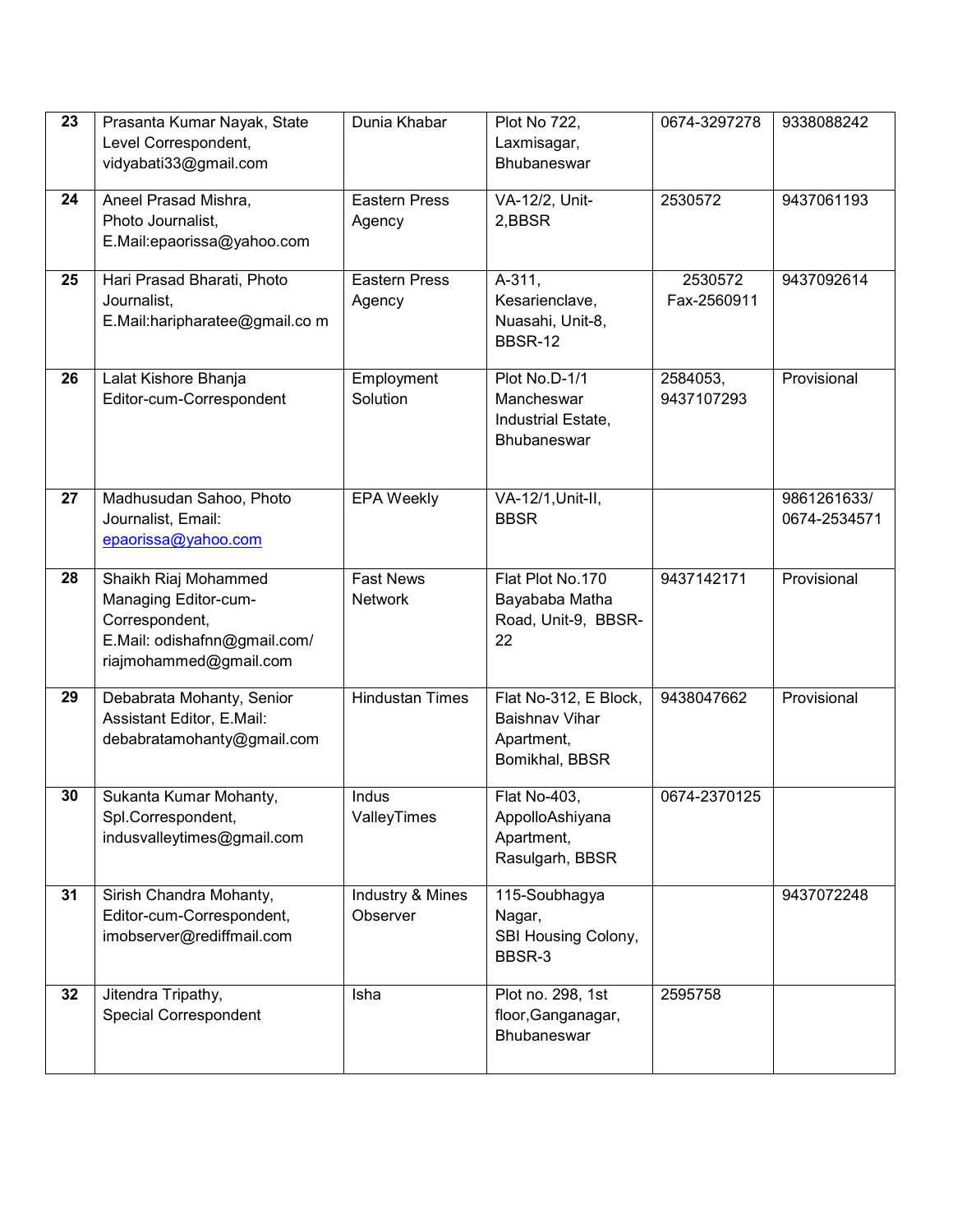| 23 | Prasanta Kumar Nayak, State    | Dunia Khabar           | <b>Plot No 722,</b>   | 0674-3297278 | 9338088242   |
|----|--------------------------------|------------------------|-----------------------|--------------|--------------|
|    | Level Correspondent,           |                        | Laxmisagar,           |              |              |
|    | vidyabati33@gmail.com          |                        | Bhubaneswar           |              |              |
|    |                                |                        |                       |              |              |
| 24 | Aneel Prasad Mishra,           | <b>Eastern Press</b>   | VA-12/2, Unit-        | 2530572      | 9437061193   |
|    | Photo Journalist,              | Agency                 | 2,BBSR                |              |              |
|    | E.Mail:epaorissa@yahoo.com     |                        |                       |              |              |
|    |                                |                        |                       |              |              |
| 25 | Hari Prasad Bharati, Photo     | <b>Eastern Press</b>   | A-311,                | 2530572      | 9437092614   |
|    | Journalist,                    | Agency                 | Kesarienclave,        | Fax-2560911  |              |
|    | E.Mail:haripharatee@gmail.co m |                        | Nuasahi, Unit-8,      |              |              |
|    |                                |                        | <b>BBSR-12</b>        |              |              |
| 26 | Lalat Kishore Bhanja           | Employment             | Plot No.D-1/1         | 2584053,     | Provisional  |
|    | Editor-cum-Correspondent       | Solution               | Mancheswar            | 9437107293   |              |
|    |                                |                        | Industrial Estate,    |              |              |
|    |                                |                        | <b>Bhubaneswar</b>    |              |              |
|    |                                |                        |                       |              |              |
|    |                                |                        |                       |              |              |
| 27 | Madhusudan Sahoo, Photo        | <b>EPA Weekly</b>      | VA-12/1, Unit-II,     |              | 9861261633/  |
|    | Journalist, Email:             |                        | <b>BBSR</b>           |              | 0674-2534571 |
|    | epaorissa@yahoo.com            |                        |                       |              |              |
|    |                                |                        |                       |              |              |
| 28 | Shaikh Riaj Mohammed           | <b>Fast News</b>       | Flat Plot No.170      | 9437142171   | Provisional  |
|    | Managing Editor-cum-           | <b>Network</b>         | Bayababa Matha        |              |              |
|    | Correspondent,                 |                        | Road, Unit-9, BBSR-   |              |              |
|    | E.Mail: odishafnn@gmail.com/   |                        | 22                    |              |              |
|    | riajmohammed@gmail.com         |                        |                       |              |              |
| 29 | Debabrata Mohanty, Senior      | <b>Hindustan Times</b> | Flat No-312, E Block, | 9438047662   | Provisional  |
|    |                                |                        | <b>Baishnav Vihar</b> |              |              |
|    | Assistant Editor, E.Mail:      |                        |                       |              |              |
|    | debabratamohanty@gmail.com     |                        | Apartment,            |              |              |
|    |                                |                        | Bomikhal, BBSR        |              |              |
| 30 | Sukanta Kumar Mohanty,         | Indus                  | Flat No-403,          | 0674-2370125 |              |
|    | Spl.Correspondent,             | ValleyTimes            | AppolloAshiyana       |              |              |
|    | indusvalleytimes@gmail.com     |                        | Apartment,            |              |              |
|    |                                |                        | Rasulgarh, BBSR       |              |              |
|    |                                |                        |                       |              |              |
| 31 | Sirish Chandra Mohanty,        | Industry & Mines       | 115-Soubhagya         |              | 9437072248   |
|    | Editor-cum-Correspondent,      | Observer               | Nagar,                |              |              |
|    | imobserver@rediffmail.com      |                        | SBI Housing Colony,   |              |              |
|    |                                |                        | BBSR-3                |              |              |
| 32 | Jitendra Tripathy,             | Isha                   | Plot no. 298, 1st     | 2595758      |              |
|    | Special Correspondent          |                        | floor, Ganganagar,    |              |              |
|    |                                |                        | Bhubaneswar           |              |              |
|    |                                |                        |                       |              |              |
|    |                                |                        |                       |              |              |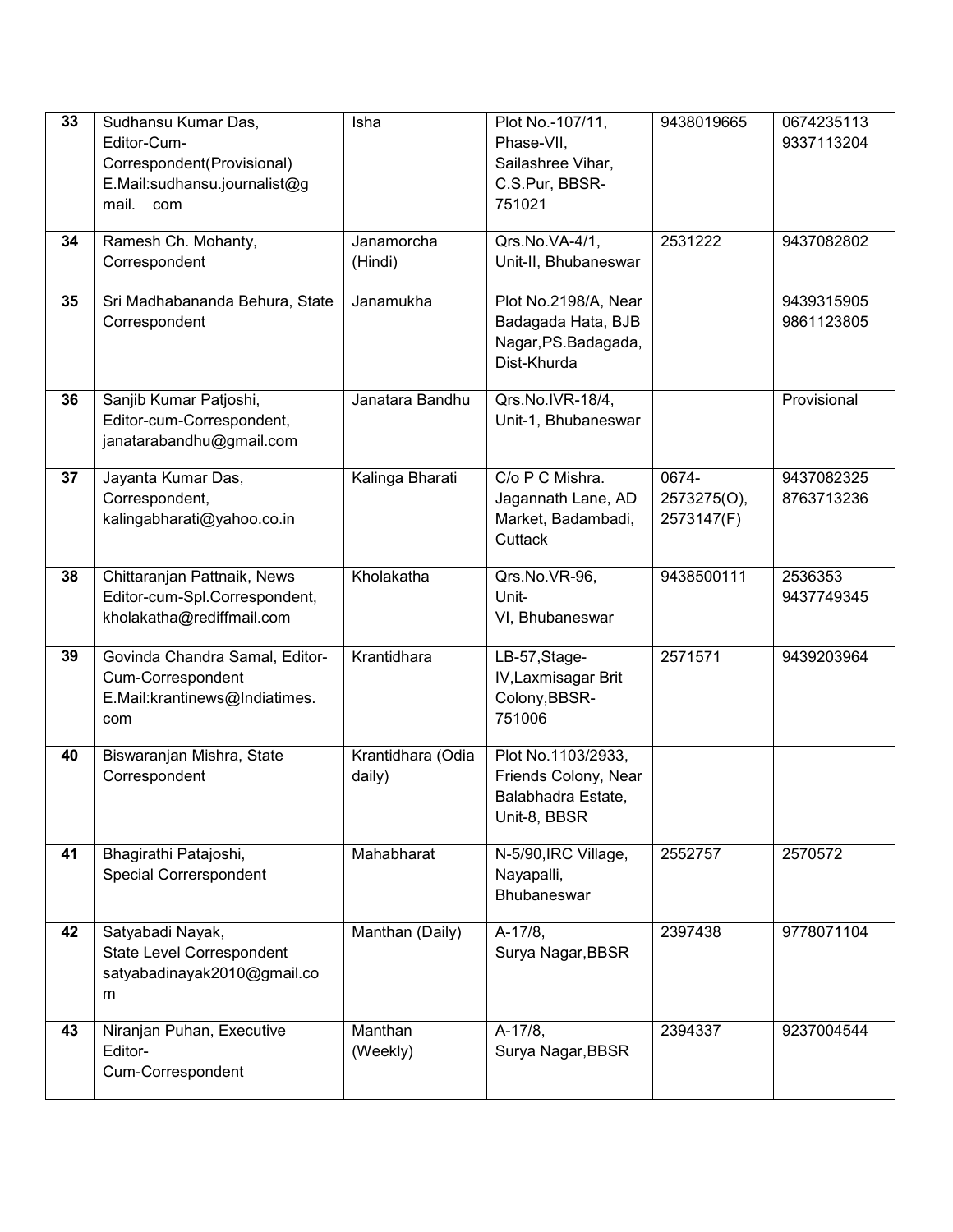| 33 | Sudhansu Kumar Das,<br>Editor-Cum-<br>Correspondent(Provisional)<br>E.Mail:sudhansu.journalist@g<br>mail.<br>com | Isha                        | Plot No.-107/11,<br>Phase-VII,<br>Sailashree Vihar,<br>C.S.Pur, BBSR-<br>751021  | 9438019665                         | 0674235113<br>9337113204 |
|----|------------------------------------------------------------------------------------------------------------------|-----------------------------|----------------------------------------------------------------------------------|------------------------------------|--------------------------|
| 34 | Ramesh Ch. Mohanty,<br>Correspondent                                                                             | Janamorcha<br>(Hindi)       | Qrs.No.VA-4/1,<br>Unit-II, Bhubaneswar                                           | 2531222                            | 9437082802               |
| 35 | Sri Madhabananda Behura, State<br>Correspondent                                                                  | Janamukha                   | Plot No.2198/A, Near<br>Badagada Hata, BJB<br>Nagar, PS.Badagada,<br>Dist-Khurda |                                    | 9439315905<br>9861123805 |
| 36 | Sanjib Kumar Patjoshi,<br>Editor-cum-Correspondent,<br>janatarabandhu@gmail.com                                  | Janatara Bandhu             | Qrs.No.IVR-18/4,<br>Unit-1, Bhubaneswar                                          |                                    | Provisional              |
| 37 | Jayanta Kumar Das,<br>Correspondent,<br>kalingabharati@yahoo.co.in                                               | Kalinga Bharati             | C/o P C Mishra.<br>Jagannath Lane, AD<br>Market, Badambadi,<br>Cuttack           | 0674-<br>2573275(O),<br>2573147(F) | 9437082325<br>8763713236 |
| 38 | Chittaranjan Pattnaik, News<br>Editor-cum-Spl.Correspondent,<br>kholakatha@rediffmail.com                        | Kholakatha                  | Qrs.No.VR-96,<br>Unit-<br>VI, Bhubaneswar                                        | 9438500111                         | 2536353<br>9437749345    |
| 39 | Govinda Chandra Samal, Editor-<br>Cum-Correspondent<br>E.Mail:krantinews@Indiatimes.<br>com                      | Krantidhara                 | LB-57, Stage-<br>IV, Laxmisagar Brit<br>Colony, BBSR-<br>751006                  | 2571571                            | 9439203964               |
| 40 | Biswaranjan Mishra, State<br>Correspondent                                                                       | Krantidhara (Odia<br>daily) | Plot No.1103/2933,<br>Friends Colony, Near<br>Balabhadra Estate,<br>Unit-8, BBSR |                                    |                          |
| 41 | Bhagirathi Patajoshi,<br>Special Correrspondent                                                                  | Mahabharat                  | N-5/90, IRC Village,<br>Nayapalli,<br>Bhubaneswar                                | 2552757                            | 2570572                  |
| 42 | Satyabadi Nayak,<br>State Level Correspondent<br>satyabadinayak2010@gmail.co<br>m                                | Manthan (Daily)             | A-17/8,<br>Surya Nagar, BBSR                                                     | 2397438                            | 9778071104               |
| 43 | Niranjan Puhan, Executive<br>Editor-<br>Cum-Correspondent                                                        | Manthan<br>(Weekly)         | A-17/8,<br>Surya Nagar, BBSR                                                     | 2394337                            | 9237004544               |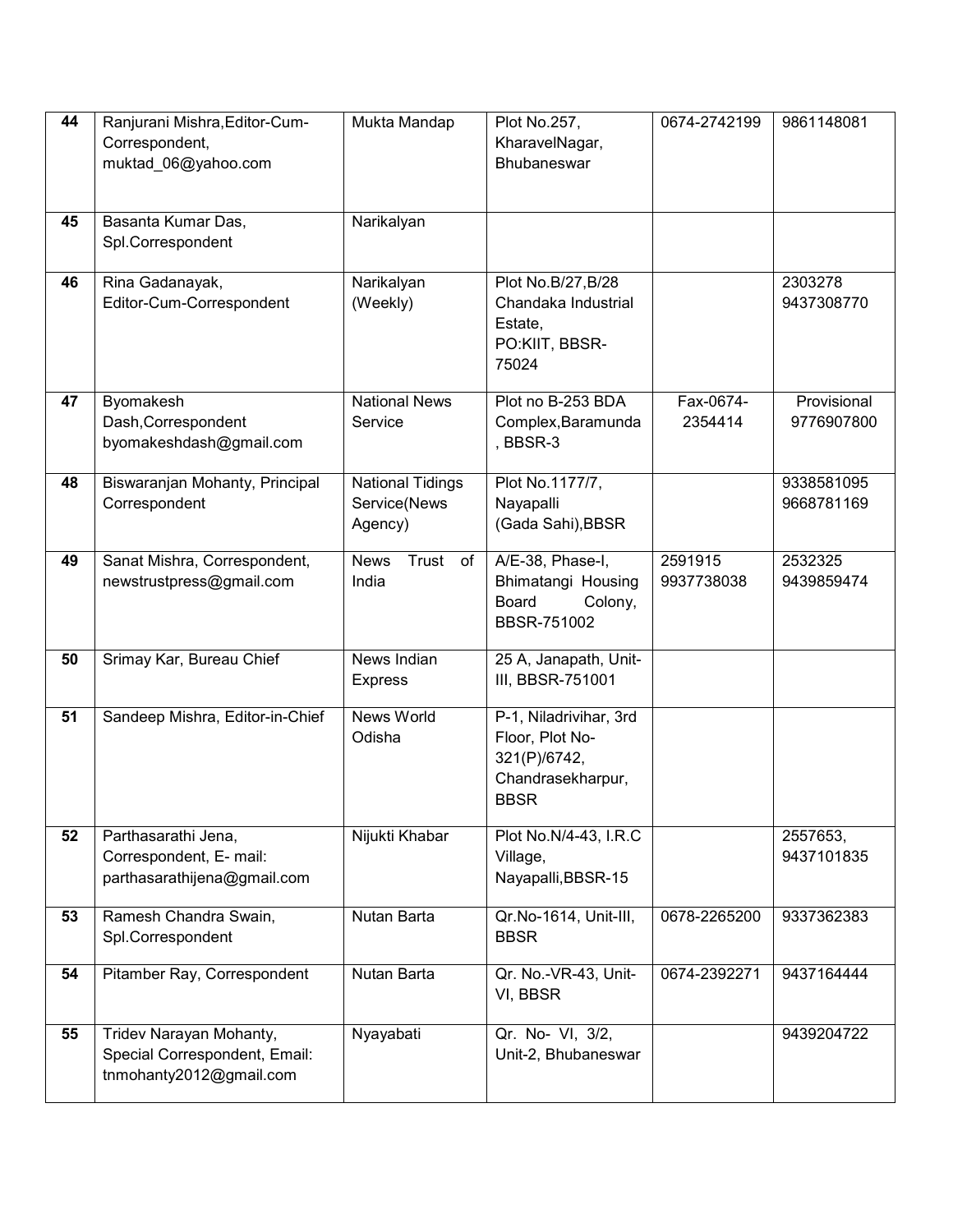| 44 | Ranjurani Mishra, Editor-Cum-                          | Mukta Mandap               | Plot No.257,                              | 0674-2742199 | 9861148081  |
|----|--------------------------------------------------------|----------------------------|-------------------------------------------|--------------|-------------|
|    | Correspondent,                                         |                            | KharavelNagar,<br><b>Bhubaneswar</b>      |              |             |
|    | muktad_06@yahoo.com                                    |                            |                                           |              |             |
|    |                                                        |                            |                                           |              |             |
| 45 | Basanta Kumar Das,                                     | Narikalyan                 |                                           |              |             |
|    | Spl.Correspondent                                      |                            |                                           |              |             |
|    |                                                        |                            |                                           |              |             |
| 46 | Rina Gadanayak,                                        | Narikalyan                 | Plot No.B/27, B/28                        |              | 2303278     |
|    | Editor-Cum-Correspondent                               | (Weekly)                   | Chandaka Industrial<br>Estate,            |              | 9437308770  |
|    |                                                        |                            | PO:KIIT, BBSR-                            |              |             |
|    |                                                        |                            | 75024                                     |              |             |
|    |                                                        |                            |                                           |              |             |
| 47 | Byomakesh                                              | <b>National News</b>       | Plot no B-253 BDA                         | Fax-0674-    | Provisional |
|    | Dash, Correspondent                                    | Service                    | Complex, Baramunda                        | 2354414      | 9776907800  |
|    | byomakeshdash@gmail.com                                |                            | , BBSR-3                                  |              |             |
| 48 | Biswaranjan Mohanty, Principal                         | <b>National Tidings</b>    | Plot No.1177/7,                           |              | 9338581095  |
|    | Correspondent                                          | Service(News               | Nayapalli                                 |              | 9668781169  |
|    |                                                        | Agency)                    | (Gada Sahi), BBSR                         |              |             |
|    |                                                        |                            |                                           |              |             |
| 49 | Sanat Mishra, Correspondent,                           | <b>News</b><br>Trust<br>of | A/E-38, Phase-I,                          | 2591915      | 2532325     |
|    | newstrustpress@gmail.com                               | India                      | Bhimatangi Housing                        | 9937738038   | 9439859474  |
|    |                                                        |                            | <b>Board</b><br>Colony,                   |              |             |
|    |                                                        |                            | BBSR-751002                               |              |             |
| 50 | Srimay Kar, Bureau Chief                               | News Indian                | 25 A, Janapath, Unit-                     |              |             |
|    |                                                        | <b>Express</b>             | III, BBSR-751001                          |              |             |
| 51 |                                                        | News World                 |                                           |              |             |
|    | Sandeep Mishra, Editor-in-Chief                        | Odisha                     | P-1, Niladrivihar, 3rd<br>Floor, Plot No- |              |             |
|    |                                                        |                            | 321(P)/6742,                              |              |             |
|    |                                                        |                            | Chandrasekharpur,                         |              |             |
|    |                                                        |                            | <b>BBSR</b>                               |              |             |
|    |                                                        |                            |                                           |              |             |
| 52 | Parthasarathi Jena,                                    | Nijukti Khabar             | Plot No.N/4-43, I.R.C                     |              | 2557653,    |
|    | Correspondent, E- mail:<br>parthasarathijena@gmail.com |                            | Village,<br>Nayapalli, BBSR-15            |              | 9437101835  |
|    |                                                        |                            |                                           |              |             |
| 53 | Ramesh Chandra Swain,                                  | Nutan Barta                | Qr.No-1614, Unit-III,                     | 0678-2265200 | 9337362383  |
|    | Spl.Correspondent                                      |                            | <b>BBSR</b>                               |              |             |
|    |                                                        |                            |                                           |              |             |
| 54 | Pitamber Ray, Correspondent                            | Nutan Barta                | Qr. No.-VR-43, Unit-                      | 0674-2392271 | 9437164444  |
|    |                                                        |                            | VI, BBSR                                  |              |             |
| 55 | Tridev Narayan Mohanty,                                | Nyayabati                  | Qr. No- VI, 3/2,                          |              | 9439204722  |
|    | Special Correspondent, Email:                          |                            | Unit-2, Bhubaneswar                       |              |             |
|    | tnmohanty2012@gmail.com                                |                            |                                           |              |             |
|    |                                                        |                            |                                           |              |             |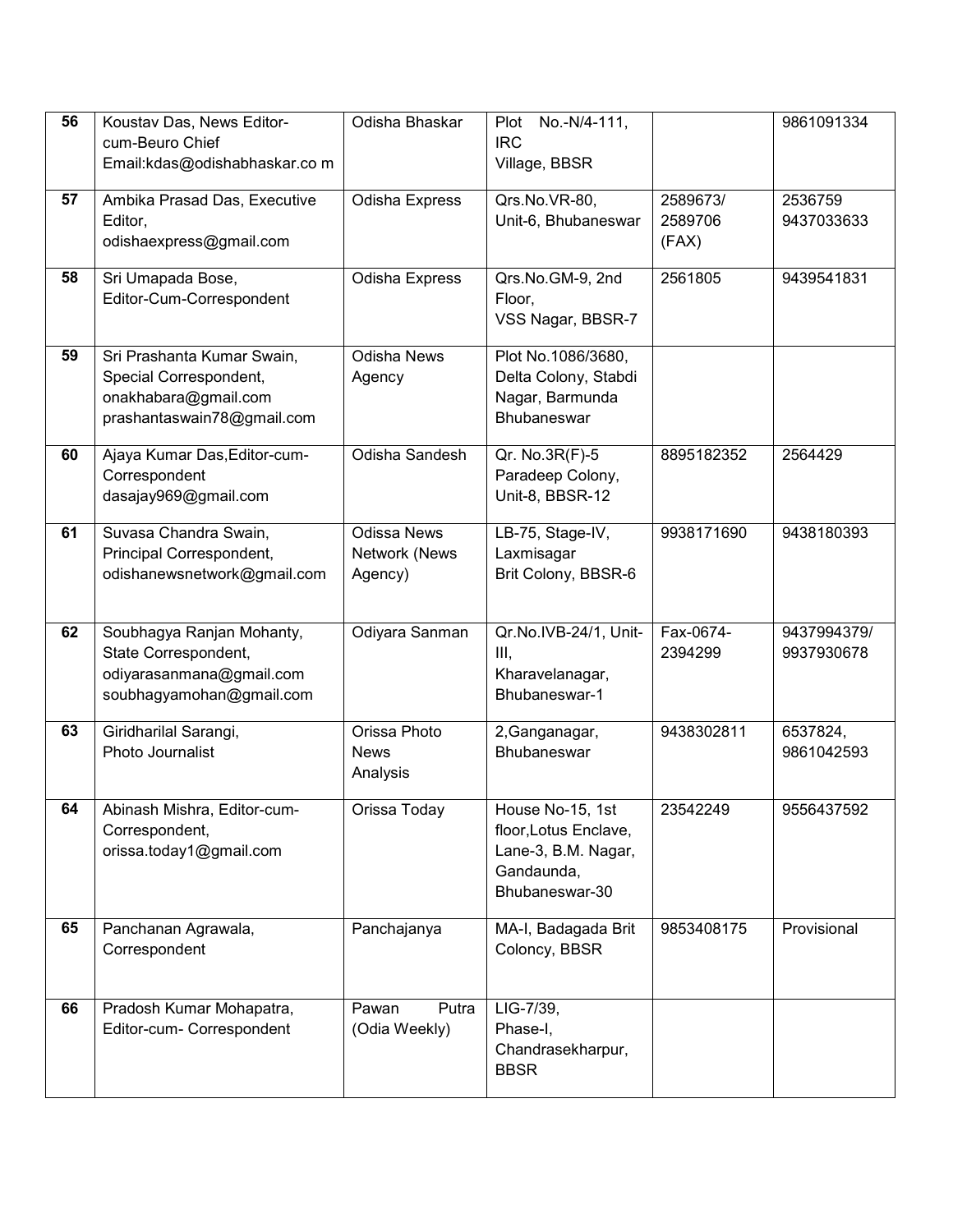| 56 | Koustav Das, News Editor-<br>cum-Beuro Chief<br>Email:kdas@odishabhaskar.co m                              | Odisha Bhaskar                                 | No.-N/4-111,<br>Plot<br><b>IRC</b><br>Village, BBSR                                              |                              | 9861091334                |
|----|------------------------------------------------------------------------------------------------------------|------------------------------------------------|--------------------------------------------------------------------------------------------------|------------------------------|---------------------------|
| 57 | Ambika Prasad Das, Executive<br>Editor,<br>odishaexpress@gmail.com                                         | Odisha Express                                 | Qrs.No.VR-80,<br>Unit-6, Bhubaneswar                                                             | 2589673/<br>2589706<br>(FAX) | 2536759<br>9437033633     |
| 58 | Sri Umapada Bose,<br>Editor-Cum-Correspondent                                                              | Odisha Express                                 | Qrs.No.GM-9, 2nd<br>Floor,<br>VSS Nagar, BBSR-7                                                  | 2561805                      | 9439541831                |
| 59 | Sri Prashanta Kumar Swain,<br>Special Correspondent,<br>onakhabara@gmail.com<br>prashantaswain78@gmail.com | Odisha News<br>Agency                          | Plot No.1086/3680,<br>Delta Colony, Stabdi<br>Nagar, Barmunda<br><b>Bhubaneswar</b>              |                              |                           |
| 60 | Ajaya Kumar Das, Editor-cum-<br>Correspondent<br>dasajay969@gmail.com                                      | Odisha Sandesh                                 | Qr. No.3R(F)-5<br>Paradeep Colony,<br>Unit-8, BBSR-12                                            | 8895182352                   | 2564429                   |
| 61 | Suvasa Chandra Swain,<br>Principal Correspondent,<br>odishanewsnetwork@gmail.com                           | <b>Odissa News</b><br>Network (News<br>Agency) | LB-75, Stage-IV,<br>Laxmisagar<br>Brit Colony, BBSR-6                                            | 9938171690                   | 9438180393                |
| 62 | Soubhagya Ranjan Mohanty,<br>State Correspondent,<br>odiyarasanmana@gmail.com<br>soubhagyamohan@gmail.com  | Odiyara Sanman                                 | Qr.No.IVB-24/1, Unit-<br>Ш,<br>Kharavelanagar,<br>Bhubaneswar-1                                  | Fax-0674-<br>2394299         | 9437994379/<br>9937930678 |
| 63 | Giridharilal Sarangi,<br>Photo Journalist                                                                  | Orissa Photo<br><b>News</b><br>Analysis        | 2, Ganganagar,<br>Bhubaneswar                                                                    | 9438302811                   | 6537824,<br>9861042593    |
| 64 | Abinash Mishra, Editor-cum-<br>Correspondent,<br>orissa.today1@gmail.com                                   | Orissa Today                                   | House No-15, 1st<br>floor, Lotus Enclave,<br>Lane-3, B.M. Nagar,<br>Gandaunda,<br>Bhubaneswar-30 | 23542249                     | 9556437592                |
| 65 | Panchanan Agrawala,<br>Correspondent                                                                       | Panchajanya                                    | MA-I, Badagada Brit<br>Coloncy, BBSR                                                             | 9853408175                   | Provisional               |
| 66 | Pradosh Kumar Mohapatra,<br>Editor-cum- Correspondent                                                      | Pawan<br>Putra<br>(Odia Weekly)                | LIG-7/39,<br>Phase-I,<br>Chandrasekharpur,<br><b>BBSR</b>                                        |                              |                           |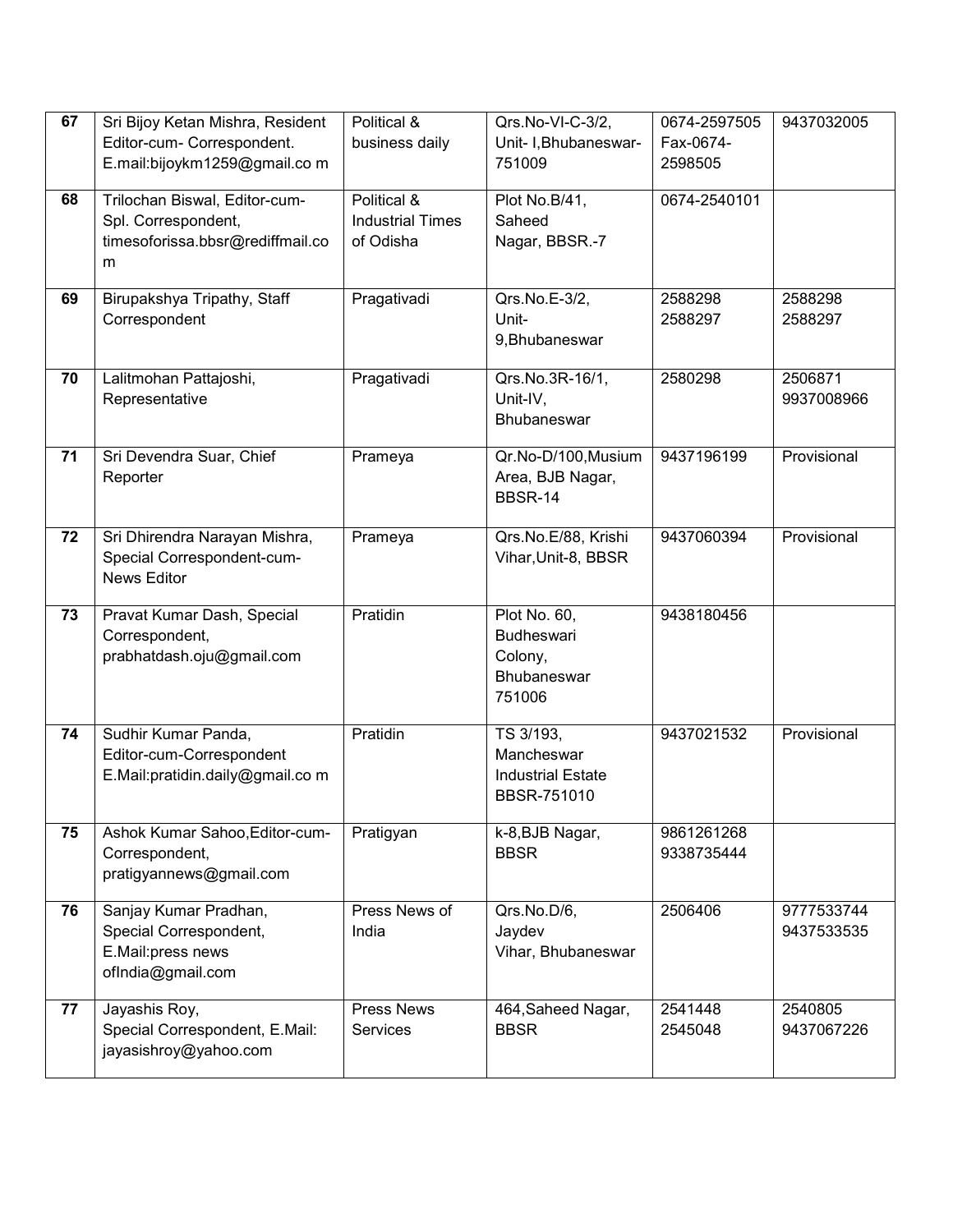| 67 | Sri Bijoy Ketan Mishra, Resident                             | Political &                          | Qrs.No-VI-C-3/2,                | 0674-2597505         | 9437032005  |
|----|--------------------------------------------------------------|--------------------------------------|---------------------------------|----------------------|-------------|
|    | Editor-cum- Correspondent.<br>E.mail:bijoykm1259@gmail.com   | business daily                       | Unit- I, Bhubaneswar-<br>751009 | Fax-0674-<br>2598505 |             |
|    |                                                              |                                      |                                 |                      |             |
| 68 | Trilochan Biswal, Editor-cum-                                | Political &                          | Plot No.B/41,                   | 0674-2540101         |             |
|    | Spl. Correspondent,<br>timesoforissa.bbsr@rediffmail.co      | <b>Industrial Times</b><br>of Odisha | Saheed<br>Nagar, BBSR.-7        |                      |             |
|    | m                                                            |                                      |                                 |                      |             |
| 69 | Birupakshya Tripathy, Staff                                  | Pragativadi                          | Qrs.No.E-3/2,                   | 2588298              | 2588298     |
|    | Correspondent                                                |                                      | Unit-                           | 2588297              | 2588297     |
|    |                                                              |                                      | 9, Bhubaneswar                  |                      |             |
| 70 | Lalitmohan Pattajoshi,                                       | Pragativadi                          | Qrs.No.3R-16/1,                 | 2580298              | 2506871     |
|    | Representative                                               |                                      | Unit-IV,                        |                      | 9937008966  |
|    |                                                              |                                      | Bhubaneswar                     |                      |             |
| 71 | Sri Devendra Suar, Chief                                     | Prameya                              | Qr.No-D/100, Musium             | 9437196199           | Provisional |
|    | Reporter                                                     |                                      | Area, BJB Nagar,                |                      |             |
|    |                                                              |                                      | <b>BBSR-14</b>                  |                      |             |
| 72 | Sri Dhirendra Narayan Mishra,                                | Prameya                              | Qrs.No.E/88, Krishi             | 9437060394           | Provisional |
|    | Special Correspondent-cum-                                   |                                      | Vihar, Unit-8, BBSR             |                      |             |
|    | News Editor                                                  |                                      |                                 |                      |             |
| 73 | Pravat Kumar Dash, Special                                   | Pratidin                             | Plot No. 60,                    | 9438180456           |             |
|    | Correspondent,                                               |                                      | <b>Budheswari</b>               |                      |             |
|    | prabhatdash.oju@gmail.com                                    |                                      | Colony,                         |                      |             |
|    |                                                              |                                      | Bhubaneswar<br>751006           |                      |             |
|    |                                                              |                                      |                                 |                      |             |
| 74 | Sudhir Kumar Panda,                                          | Pratidin                             | TS 3/193,<br>Mancheswar         | 9437021532           | Provisional |
|    | Editor-cum-Correspondent<br>E.Mail:pratidin.daily@gmail.co m |                                      | <b>Industrial Estate</b>        |                      |             |
|    |                                                              |                                      | BBSR-751010                     |                      |             |
| 75 | Ashok Kumar Sahoo, Editor-cum-                               | Pratigyan                            | k-8, BJB Nagar,                 | 9861261268           |             |
|    | Correspondent,                                               |                                      | <b>BBSR</b>                     | 9338735444           |             |
|    | pratigyannews@gmail.com                                      |                                      |                                 |                      |             |
| 76 | Sanjay Kumar Pradhan,                                        | Press News of                        | Qrs.No.D/6,                     | 2506406              | 9777533744  |
|    | Special Correspondent,                                       | India                                | Jaydev                          |                      | 9437533535  |
|    | E.Mail:press news                                            |                                      | Vihar, Bhubaneswar              |                      |             |
|    | ofIndia@gmail.com                                            |                                      |                                 |                      |             |
| 77 | Jayashis Roy,                                                | Press News                           | 464, Saheed Nagar,              | 2541448              | 2540805     |
|    | Special Correspondent, E.Mail:<br>jayasishroy@yahoo.com      | Services                             | <b>BBSR</b>                     | 2545048              | 9437067226  |
|    |                                                              |                                      |                                 |                      |             |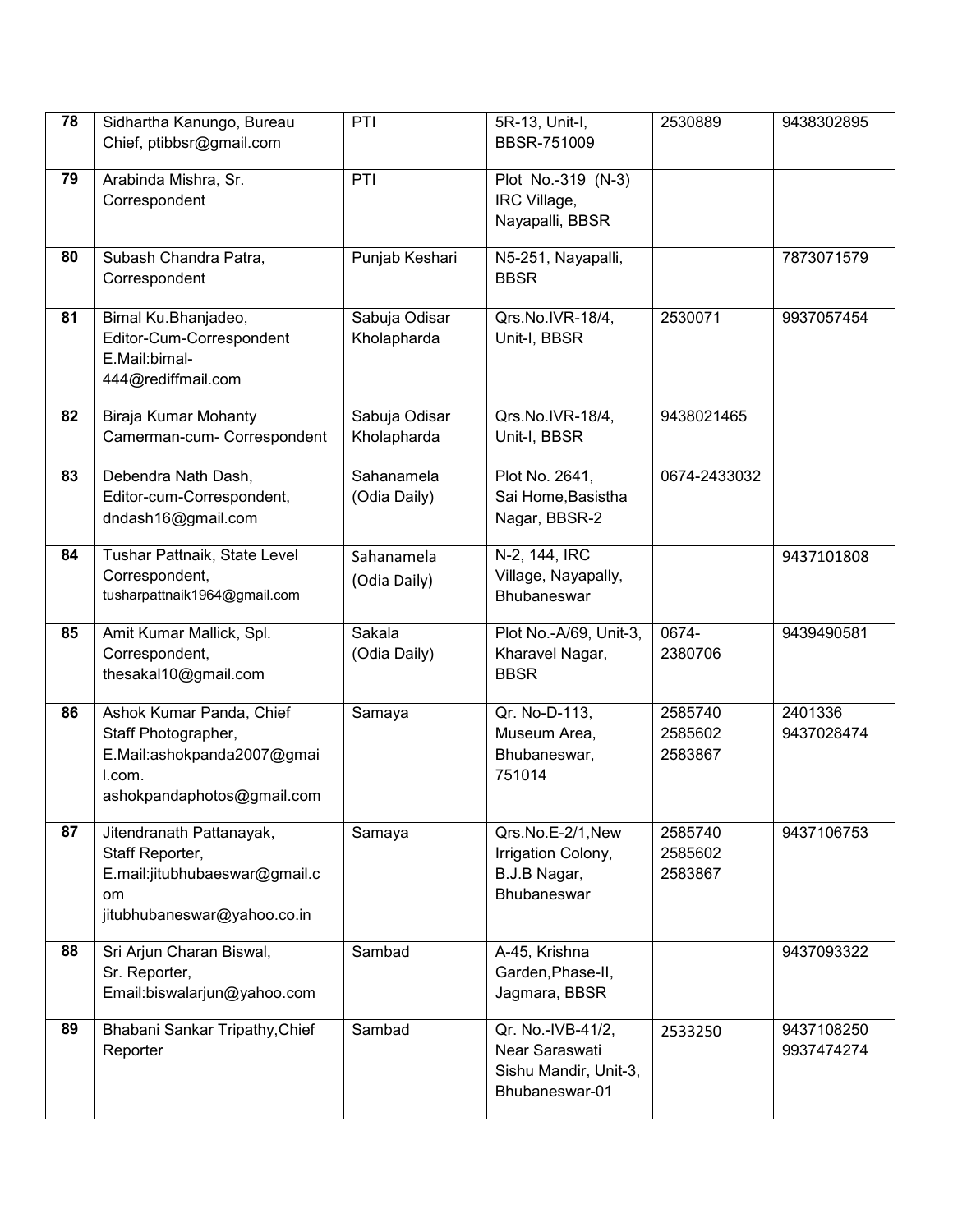| 78 | Sidhartha Kanungo, Bureau<br>Chief, ptibbsr@gmail.com                                                                 | PTI                          | 5R-13, Unit-I,<br><b>BBSR-751009</b>                                           | 2530889                       | 9438302895               |
|----|-----------------------------------------------------------------------------------------------------------------------|------------------------------|--------------------------------------------------------------------------------|-------------------------------|--------------------------|
| 79 | Arabinda Mishra, Sr.<br>Correspondent                                                                                 | PTI                          | Plot No.-319 (N-3)<br>IRC Village,<br>Nayapalli, BBSR                          |                               |                          |
| 80 | Subash Chandra Patra,<br>Correspondent                                                                                | Punjab Keshari               | N5-251, Nayapalli,<br><b>BBSR</b>                                              |                               | 7873071579               |
| 81 | Bimal Ku.Bhanjadeo,<br>Editor-Cum-Correspondent<br>E.Mail:bimal-<br>444@rediffmail.com                                | Sabuja Odisar<br>Kholapharda | Qrs.No.IVR-18/4,<br>Unit-I, BBSR                                               | 2530071                       | 9937057454               |
| 82 | Biraja Kumar Mohanty<br>Camerman-cum- Correspondent                                                                   | Sabuja Odisar<br>Kholapharda | Qrs.No.IVR-18/4,<br>Unit-I, BBSR                                               | 9438021465                    |                          |
| 83 | Debendra Nath Dash,<br>Editor-cum-Correspondent,<br>dndash16@gmail.com                                                | Sahanamela<br>(Odia Daily)   | Plot No. 2641,<br>Sai Home, Basistha<br>Nagar, BBSR-2                          | 0674-2433032                  |                          |
| 84 | Tushar Pattnaik, State Level<br>Correspondent,<br>tusharpattnaik1964@gmail.com                                        | Sahanamela<br>(Odia Daily)   | N-2, 144, IRC<br>Village, Nayapally,<br>Bhubaneswar                            |                               | 9437101808               |
| 85 | Amit Kumar Mallick, Spl.<br>Correspondent,<br>thesakal10@gmail.com                                                    | Sakala<br>(Odia Daily)       | Plot No.-A/69, Unit-3,<br>Kharavel Nagar,<br><b>BBSR</b>                       | 0674-<br>2380706              | 9439490581               |
| 86 | Ashok Kumar Panda, Chief<br>Staff Photographer,<br>E.Mail:ashokpanda2007@gmai<br>I.com.<br>ashokpandaphotos@gmail.com | Samaya                       | Qr. No-D-113,<br>Museum Area,<br>Bhubaneswar,<br>751014                        | 2585740<br>2585602<br>2583867 | 2401336<br>9437028474    |
| 87 | Jitendranath Pattanayak,<br>Staff Reporter,<br>E.mail:jitubhubaeswar@gmail.c<br>om<br>jitubhubaneswar@yahoo.co.in     | Samaya                       | Qrs.No.E-2/1,New<br>Irrigation Colony,<br>B.J.B Nagar,<br>Bhubaneswar          | 2585740<br>2585602<br>2583867 | 9437106753               |
| 88 | Sri Arjun Charan Biswal,<br>Sr. Reporter,<br>Email:biswalarjun@yahoo.com                                              | Sambad                       | A-45, Krishna<br>Garden, Phase-II,<br>Jagmara, BBSR                            |                               | 9437093322               |
| 89 | Bhabani Sankar Tripathy, Chief<br>Reporter                                                                            | Sambad                       | Qr. No.-IVB-41/2,<br>Near Saraswati<br>Sishu Mandir, Unit-3,<br>Bhubaneswar-01 | 2533250                       | 9437108250<br>9937474274 |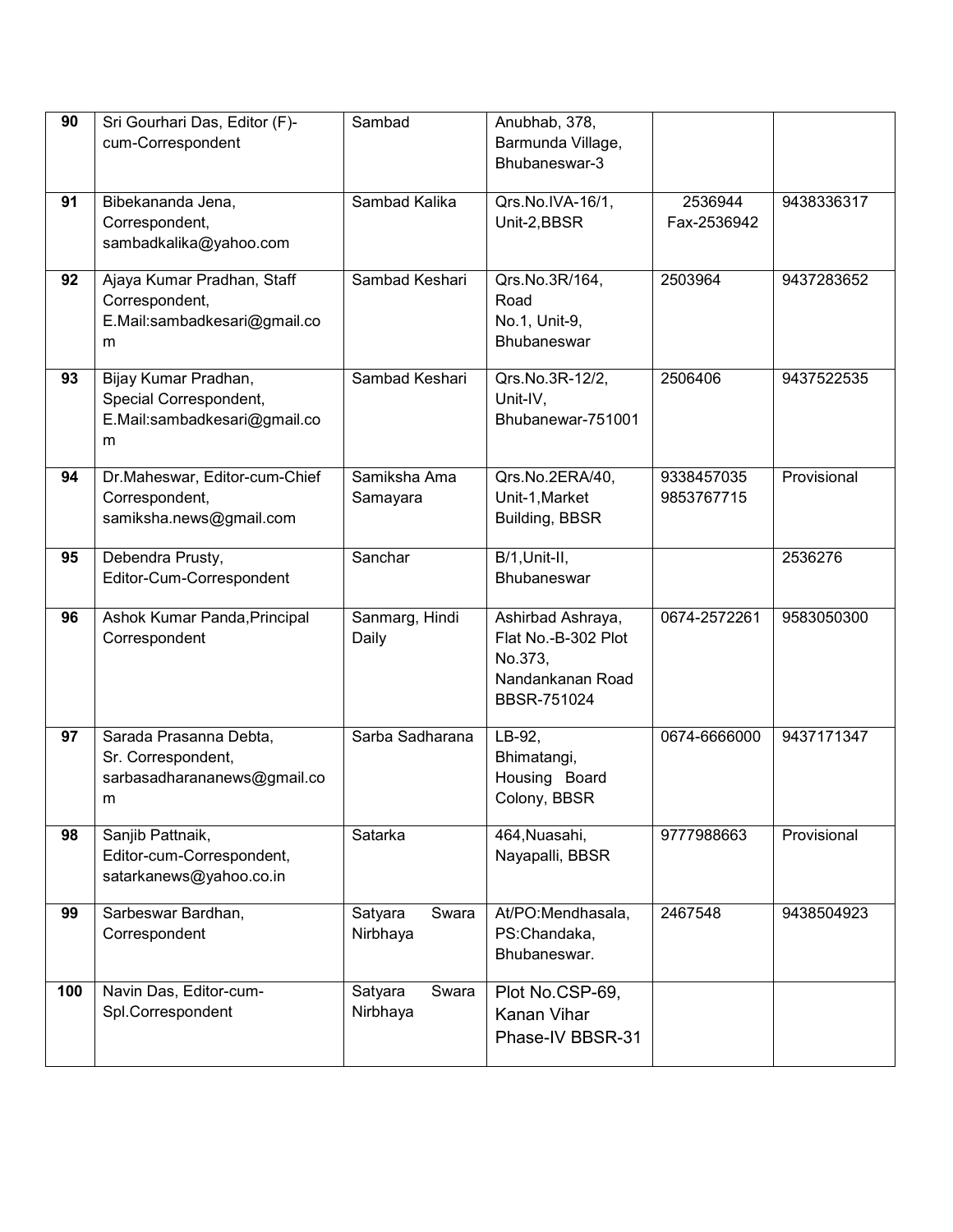| 90  | Sri Gourhari Das, Editor (F)-                 | Sambad                  | Anubhab, 378,                            |              |             |
|-----|-----------------------------------------------|-------------------------|------------------------------------------|--------------|-------------|
|     | cum-Correspondent                             |                         | Barmunda Village,<br>Bhubaneswar-3       |              |             |
|     |                                               |                         |                                          |              |             |
| 91  | Bibekananda Jena,                             | Sambad Kalika           | Qrs.No.IVA-16/1,                         | 2536944      | 9438336317  |
|     | Correspondent,                                |                         | Unit-2,BBSR                              | Fax-2536942  |             |
|     | sambadkalika@yahoo.com                        |                         |                                          |              |             |
| 92  | Ajaya Kumar Pradhan, Staff                    | Sambad Keshari          | Qrs.No.3R/164,                           | 2503964      | 9437283652  |
|     | Correspondent,                                |                         | Road                                     |              |             |
|     | E.Mail:sambadkesari@gmail.co                  |                         | No.1, Unit-9,<br>Bhubaneswar             |              |             |
|     | m                                             |                         |                                          |              |             |
| 93  | Bijay Kumar Pradhan,                          | Sambad Keshari          | Qrs.No.3R-12/2,                          | 2506406      | 9437522535  |
|     | Special Correspondent,                        |                         | Unit-IV,                                 |              |             |
|     | E.Mail:sambadkesari@gmail.co                  |                         | Bhubanewar-751001                        |              |             |
|     | m                                             |                         |                                          |              |             |
| 94  | Dr.Maheswar, Editor-cum-Chief                 | Samiksha Ama            | Qrs.No.2ERA/40,                          | 9338457035   | Provisional |
|     | Correspondent,                                | Samayara                | Unit-1, Market                           | 9853767715   |             |
|     | samiksha.news@gmail.com                       |                         | Building, BBSR                           |              |             |
| 95  | Debendra Prusty,                              | Sanchar                 | $B/1,$ Unit-II,                          |              | 2536276     |
|     | Editor-Cum-Correspondent                      |                         | Bhubaneswar                              |              |             |
|     |                                               |                         |                                          |              |             |
| 96  | Ashok Kumar Panda, Principal<br>Correspondent | Sanmarg, Hindi<br>Daily | Ashirbad Ashraya,<br>Flat No.-B-302 Plot | 0674-2572261 | 9583050300  |
|     |                                               |                         | No.373,                                  |              |             |
|     |                                               |                         | Nandankanan Road                         |              |             |
|     |                                               |                         | BBSR-751024                              |              |             |
| 97  | Sarada Prasanna Debta,                        | Sarba Sadharana         | LB-92,                                   | 0674-6666000 | 9437171347  |
|     | Sr. Correspondent,                            |                         | Bhimatangi,                              |              |             |
|     | sarbasadharananews@gmail.co                   |                         | Housing Board                            |              |             |
|     | m                                             |                         | Colony, BBSR                             |              |             |
| 98  | Sanjib Pattnaik,                              | Satarka                 | 464, Nuasahi,                            | 9777988663   | Provisional |
|     | Editor-cum-Correspondent,                     |                         | Nayapalli, BBSR                          |              |             |
|     | satarkanews@yahoo.co.in                       |                         |                                          |              |             |
| 99  | Sarbeswar Bardhan,                            | Swara                   | At/PO:Mendhasala,                        | 2467548      | 9438504923  |
|     | Correspondent                                 | Satyara<br>Nirbhaya     | PS:Chandaka,                             |              |             |
|     |                                               |                         | Bhubaneswar.                             |              |             |
|     |                                               |                         |                                          |              |             |
| 100 | Navin Das, Editor-cum-                        | Satyara<br>Swara        | Plot No.CSP-69,                          |              |             |
|     | Spl.Correspondent                             | Nirbhaya                | Kanan Vihar                              |              |             |
|     |                                               |                         | Phase-IV BBSR-31                         |              |             |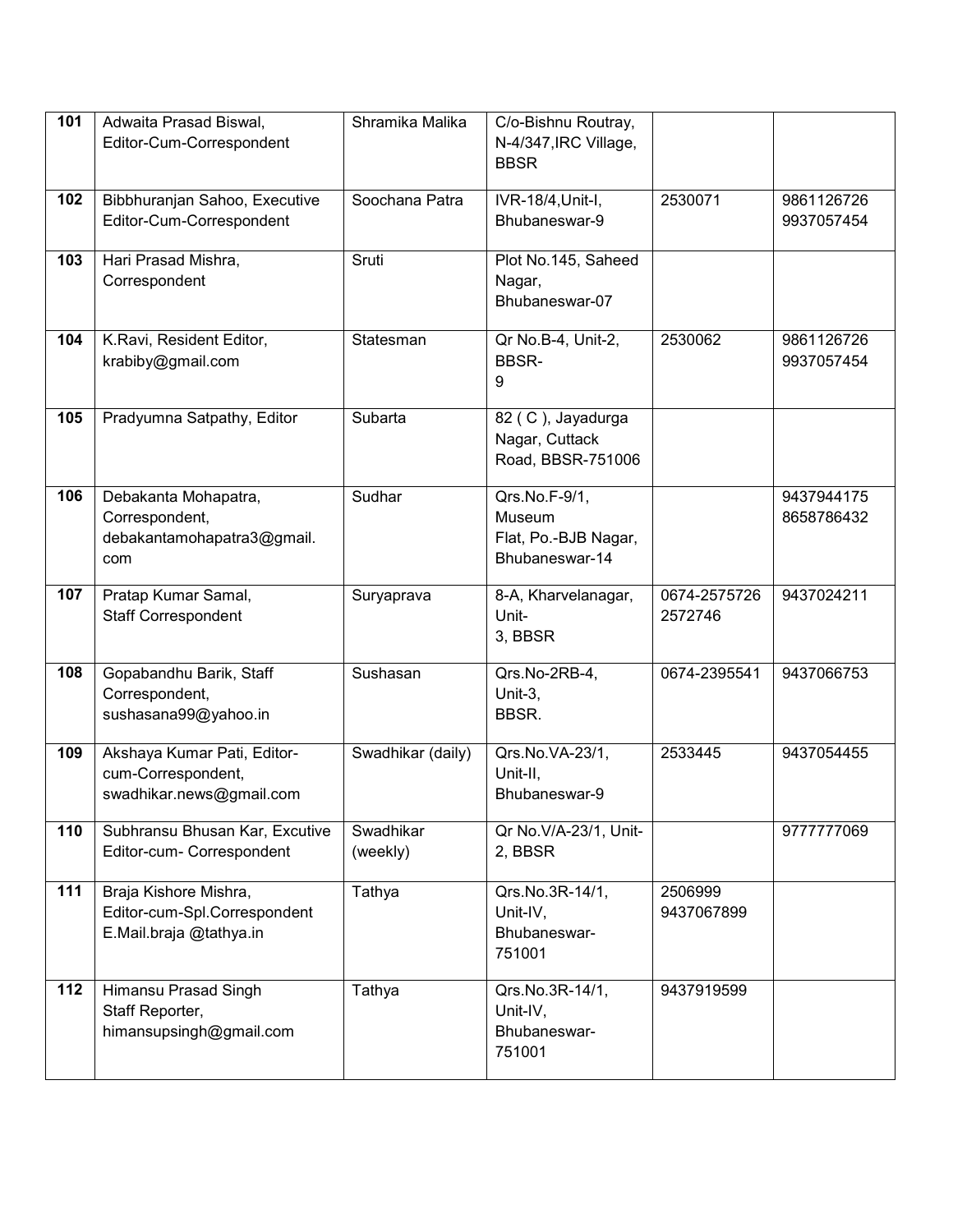| 101              | Adwaita Prasad Biswal,                                    | Shramika Malika   | C/o-Bishnu Routray,                    |              |                          |
|------------------|-----------------------------------------------------------|-------------------|----------------------------------------|--------------|--------------------------|
|                  | Editor-Cum-Correspondent                                  |                   | N-4/347, IRC Village,<br><b>BBSR</b>   |              |                          |
|                  |                                                           |                   |                                        |              |                          |
| 102              | Bibbhuranjan Sahoo, Executive<br>Editor-Cum-Correspondent | Soochana Patra    | IVR-18/4, Unit-I,<br>Bhubaneswar-9     | 2530071      | 9861126726<br>9937057454 |
|                  |                                                           |                   |                                        |              |                          |
| 103              | Hari Prasad Mishra,                                       | Sruti             | Plot No.145, Saheed                    |              |                          |
|                  | Correspondent                                             |                   | Nagar,                                 |              |                          |
|                  |                                                           |                   | Bhubaneswar-07                         |              |                          |
| 104              | K.Ravi, Resident Editor,                                  | Statesman         | Qr No.B-4, Unit-2,                     | 2530062      | 9861126726               |
|                  | krabiby@gmail.com                                         |                   | <b>BBSR-</b>                           |              | 9937057454               |
|                  |                                                           |                   | 9                                      |              |                          |
| 105              | Pradyumna Satpathy, Editor                                | Subarta           | 82 (C), Jayadurga                      |              |                          |
|                  |                                                           |                   | Nagar, Cuttack                         |              |                          |
|                  |                                                           |                   | Road, BBSR-751006                      |              |                          |
| 106              | Debakanta Mohapatra,                                      | Sudhar            | Qrs.No.F-9/1,                          |              | 9437944175               |
|                  | Correspondent,                                            |                   | Museum                                 |              | 8658786432               |
|                  | debakantamohapatra3@gmail.<br>com                         |                   | Flat, Po.-BJB Nagar,<br>Bhubaneswar-14 |              |                          |
|                  |                                                           |                   |                                        |              |                          |
| 107              | Pratap Kumar Samal,                                       | Suryaprava        | 8-A, Kharvelanagar,                    | 0674-2575726 | 9437024211               |
|                  | <b>Staff Correspondent</b>                                |                   | Unit-<br>3, BBSR                       | 2572746      |                          |
|                  |                                                           |                   |                                        |              |                          |
| 108              | Gopabandhu Barik, Staff                                   | Sushasan          | Qrs.No-2RB-4,                          | 0674-2395541 | 9437066753               |
|                  | Correspondent,<br>sushasana99@yahoo.in                    |                   | Unit-3,<br>BBSR.                       |              |                          |
|                  |                                                           |                   |                                        |              |                          |
| 109              | Akshaya Kumar Pati, Editor-                               | Swadhikar (daily) | Qrs.No.VA-23/1,                        | 2533445      | 9437054455               |
|                  | cum-Correspondent,<br>swadhikar.news@gmail.com            |                   | Unit-II,<br>Bhubaneswar-9              |              |                          |
|                  |                                                           |                   |                                        |              |                          |
| 110              | Subhransu Bhusan Kar, Excutive                            | Swadhikar         | Qr No. V/A-23/1, Unit-                 |              | 9777777069               |
|                  | Editor-cum- Correspondent                                 | (weekly)          | 2, BBSR                                |              |                          |
| $\frac{111}{11}$ | Braja Kishore Mishra,                                     | Tathya            | Qrs.No.3R-14/1,                        | 2506999      |                          |
|                  | Editor-cum-Spl.Correspondent                              |                   | Unit-IV,                               | 9437067899   |                          |
|                  | E.Mail.braja @tathya.in                                   |                   | Bhubaneswar-<br>751001                 |              |                          |
|                  |                                                           |                   |                                        |              |                          |
| 112              | Himansu Prasad Singh                                      | Tathya            | Qrs.No.3R-14/1,                        | 9437919599   |                          |
|                  | Staff Reporter,<br>himansupsingh@gmail.com                |                   | Unit-IV,<br>Bhubaneswar-               |              |                          |
|                  |                                                           |                   | 751001                                 |              |                          |
|                  |                                                           |                   |                                        |              |                          |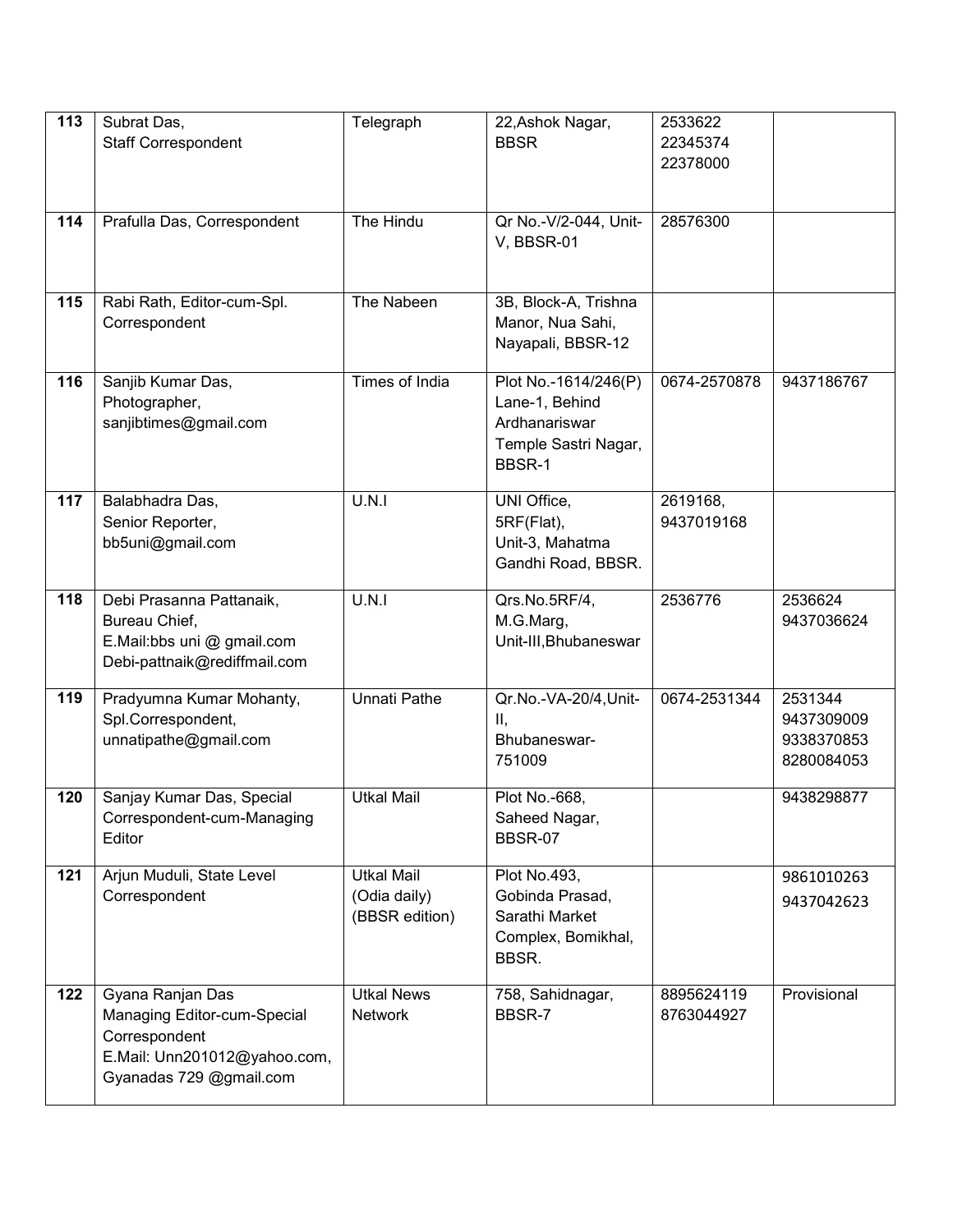| 113 | Subrat Das,                                   | Telegraph             | 22, Ashok Nagar,            | 2533622              |             |
|-----|-----------------------------------------------|-----------------------|-----------------------------|----------------------|-------------|
|     | <b>Staff Correspondent</b>                    |                       | <b>BBSR</b>                 | 22345374<br>22378000 |             |
|     |                                               |                       |                             |                      |             |
|     |                                               |                       |                             |                      |             |
| 114 | Prafulla Das, Correspondent                   | The Hindu             | Qr No.-V/2-044, Unit-       | 28576300             |             |
|     |                                               |                       | V, BBSR-01                  |                      |             |
|     |                                               |                       |                             |                      |             |
| 115 | Rabi Rath, Editor-cum-Spl.                    | The Nabeen            | 3B, Block-A, Trishna        |                      |             |
|     | Correspondent                                 |                       | Manor, Nua Sahi,            |                      |             |
|     |                                               |                       | Nayapali, BBSR-12           |                      |             |
| 116 | Sanjib Kumar Das,                             | <b>Times of India</b> | Plot No.-1614/246(P)        | 0674-2570878         | 9437186767  |
|     | Photographer,                                 |                       | Lane-1, Behind              |                      |             |
|     | sanjibtimes@gmail.com                         |                       | Ardhanariswar               |                      |             |
|     |                                               |                       | Temple Sastri Nagar,        |                      |             |
|     |                                               |                       | BBSR-1                      |                      |             |
| 117 | Balabhadra Das,                               | U.N.1                 | UNI Office,                 | 2619168,             |             |
|     | Senior Reporter,                              |                       | 5RF(Flat),                  | 9437019168           |             |
|     | bb5uni@gmail.com                              |                       | Unit-3, Mahatma             |                      |             |
|     |                                               |                       | Gandhi Road, BBSR.          |                      |             |
| 118 | Debi Prasanna Pattanaik,                      | U.N.I                 | Qrs.No.5RF/4,               | 2536776              | 2536624     |
|     | Bureau Chief,                                 |                       | M.G.Marg,                   |                      | 9437036624  |
|     | E.Mail:bbs uni @ gmail.com                    |                       | Unit-III, Bhubaneswar       |                      |             |
|     | Debi-pattnaik@rediffmail.com                  |                       |                             |                      |             |
| 119 | Pradyumna Kumar Mohanty,                      | <b>Unnati Pathe</b>   | Qr.No.-VA-20/4, Unit-       | 0674-2531344         | 2531344     |
|     | Spl.Correspondent,                            |                       | Ш,                          |                      | 9437309009  |
|     | unnatipathe@gmail.com                         |                       | Bhubaneswar-                |                      | 9338370853  |
|     |                                               |                       | 751009                      |                      | 8280084053  |
| 120 | Sanjay Kumar Das, Special                     | <b>Utkal Mail</b>     | Plot No.-668,               |                      | 9438298877  |
|     | Correspondent-cum-Managing                    |                       | Saheed Nagar,               |                      |             |
|     | Editor                                        |                       | <b>BBSR-07</b>              |                      |             |
| 121 | Arjun Muduli, State Level                     | <b>Utkal Mail</b>     | Plot No.493,                |                      | 9861010263  |
|     | Correspondent                                 | (Odia daily)          | Gobinda Prasad,             |                      | 9437042623  |
|     |                                               | (BBSR edition)        | Sarathi Market              |                      |             |
|     |                                               |                       | Complex, Bomikhal,<br>BBSR. |                      |             |
|     |                                               |                       |                             |                      |             |
| 122 | Gyana Ranjan Das                              | <b>Utkal News</b>     | 758, Sahidnagar,            | 8895624119           | Provisional |
|     | Managing Editor-cum-Special                   | <b>Network</b>        | BBSR-7                      | 8763044927           |             |
|     | Correspondent<br>E.Mail: Unn201012@yahoo.com, |                       |                             |                      |             |
|     | Gyanadas 729 @gmail.com                       |                       |                             |                      |             |
|     |                                               |                       |                             |                      |             |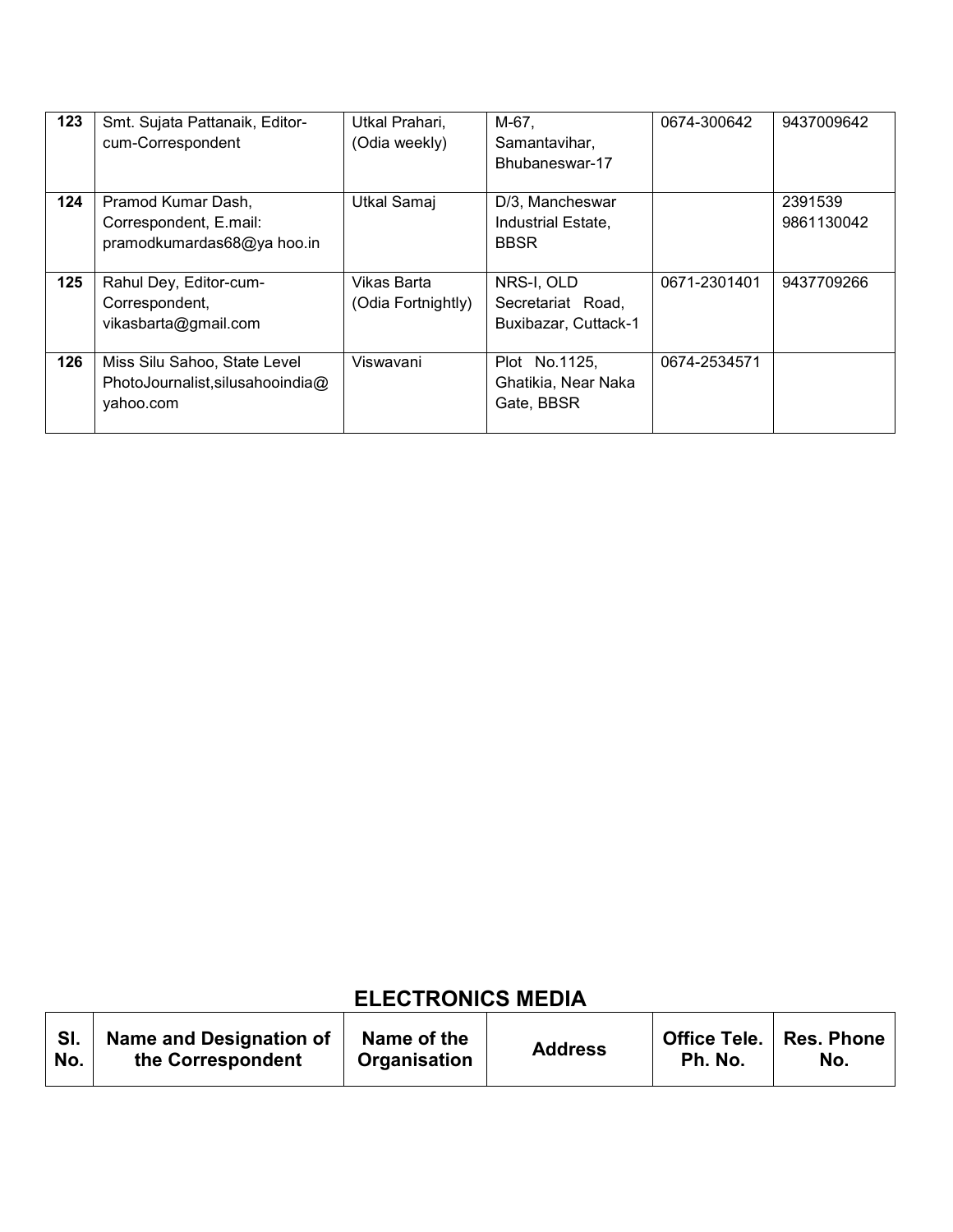| 123 | Smt. Sujata Pattanaik, Editor-   | Utkal Prahari,     | M-67,                | 0674-300642  | 9437009642 |
|-----|----------------------------------|--------------------|----------------------|--------------|------------|
|     | cum-Correspondent                | (Odia weekly)      | Samantavihar,        |              |            |
|     |                                  |                    | Bhubaneswar-17       |              |            |
|     |                                  |                    |                      |              |            |
| 124 | Pramod Kumar Dash,               | Utkal Samaj        | D/3, Mancheswar      |              | 2391539    |
|     | Correspondent, E.mail:           |                    | Industrial Estate,   |              | 9861130042 |
|     | pramodkumardas68@ya hoo.in       |                    | <b>BBSR</b>          |              |            |
|     |                                  |                    |                      |              |            |
| 125 | Rahul Dey, Editor-cum-           | Vikas Barta        | NRS-I, OLD           | 0671-2301401 | 9437709266 |
|     | Correspondent,                   | (Odia Fortnightly) | Secretariat Road,    |              |            |
|     | vikasbarta@gmail.com             |                    | Buxibazar, Cuttack-1 |              |            |
|     |                                  |                    |                      |              |            |
| 126 | Miss Silu Sahoo, State Level     | Viswavani          | Plot No.1125,        | 0674-2534571 |            |
|     | PhotoJournalist, silusahooindia@ |                    | Ghatikia, Near Naka  |              |            |
|     | vahoo.com                        |                    | Gate, BBSR           |              |            |
|     |                                  |                    |                      |              |            |

## **ELECTRONICS MEDIA**

T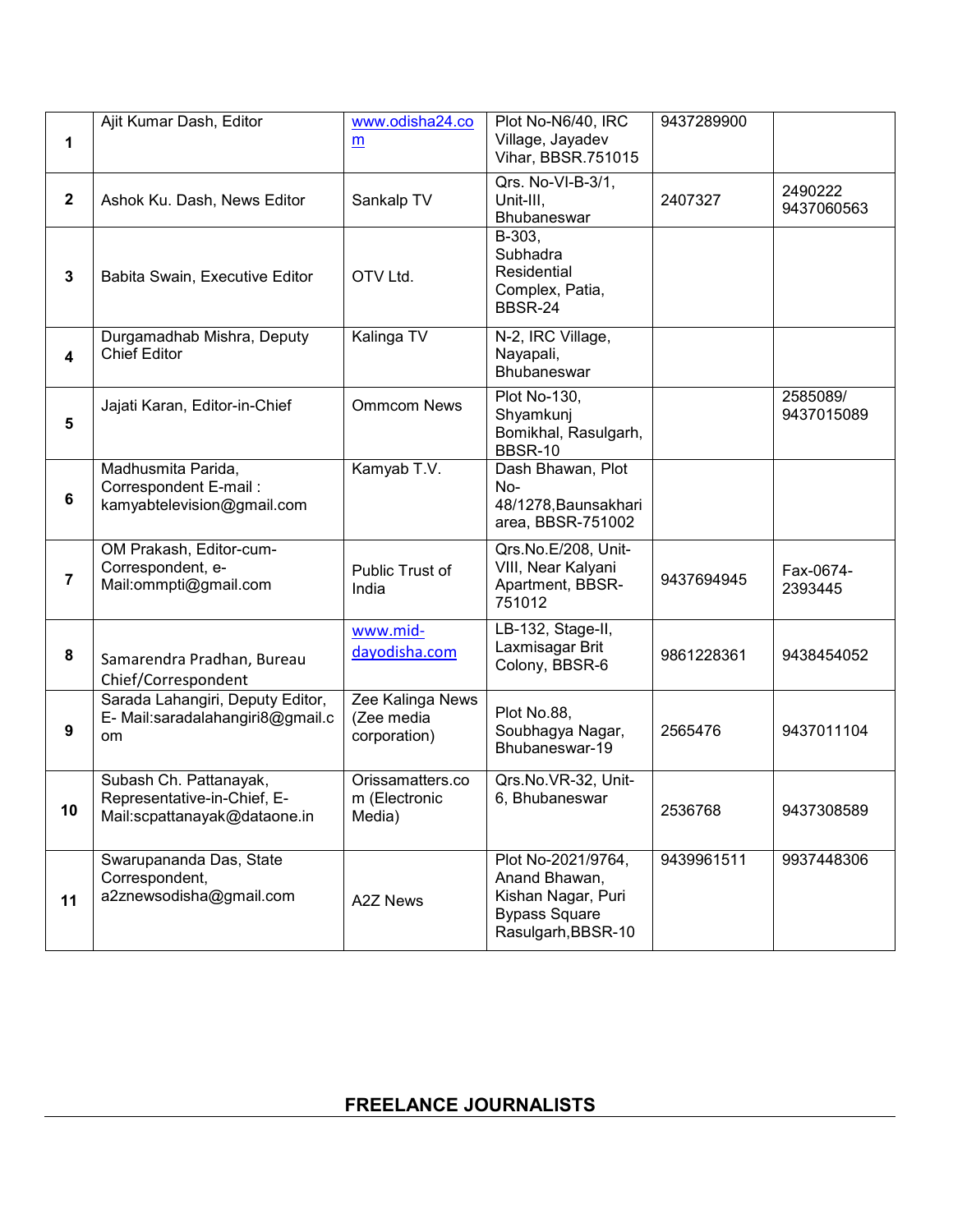| 1                       | Ajit Kumar Dash, Editor                                                               | www.odisha24.co<br>m                           | Plot No-N6/40, IRC<br>Village, Jayadev<br>Vihar, BBSR.751015                                            | 9437289900 |                        |
|-------------------------|---------------------------------------------------------------------------------------|------------------------------------------------|---------------------------------------------------------------------------------------------------------|------------|------------------------|
| $\mathbf{2}$            | Ashok Ku. Dash, News Editor                                                           | Sankalp TV                                     | Qrs. No-VI-B-3/1,<br>Unit-III,<br>Bhubaneswar                                                           | 2407327    | 2490222<br>9437060563  |
| $\mathbf 3$             | Babita Swain, Executive Editor                                                        | OTV Ltd.                                       | B-303,<br>Subhadra<br>Residential<br>Complex, Patia,<br><b>BBSR-24</b>                                  |            |                        |
| $\overline{\mathbf{4}}$ | Durgamadhab Mishra, Deputy<br><b>Chief Editor</b>                                     | Kalinga TV                                     | N-2, IRC Village,<br>Nayapali,<br>Bhubaneswar                                                           |            |                        |
| 5                       | Jajati Karan, Editor-in-Chief                                                         | <b>Ommcom News</b>                             | Plot No-130,<br>Shyamkunj<br>Bomikhal, Rasulgarh,<br><b>BBSR-10</b>                                     |            | 2585089/<br>9437015089 |
| 6                       | Madhusmita Parida,<br>Correspondent E-mail:<br>kamyabtelevision@gmail.com             | Kamyab T.V.                                    | Dash Bhawan, Plot<br>No-<br>48/1278, Baunsakhari<br>area, BBSR-751002                                   |            |                        |
| $\overline{7}$          | OM Prakash, Editor-cum-<br>Correspondent, e-<br>Mail:ommpti@gmail.com                 | Public Trust of<br>India                       | Qrs.No.E/208, Unit-<br>VIII, Near Kalyani<br>Apartment, BBSR-<br>751012                                 | 9437694945 | Fax-0674-<br>2393445   |
| 8                       | Samarendra Pradhan, Bureau<br>Chief/Correspondent                                     | www.mid-<br>dayodisha.com                      | LB-132, Stage-II,<br>Laxmisagar Brit<br>Colony, BBSR-6                                                  | 9861228361 | 9438454052             |
| 9                       | Sarada Lahangiri, Deputy Editor,<br>E- Mail:saradalahangiri8@gmail.c<br>om            | Zee Kalinga News<br>(Zee media<br>corporation) | Plot No.88,<br>Soubhagya Nagar,<br>Bhubaneswar-19                                                       | 2565476    | 9437011104             |
| 10                      | Subash Ch. Pattanayak,<br>Representative-in-Chief, E-<br>Mail:scpattanayak@dataone.in | Orissamatters.co<br>m (Electronic<br>Media)    | Qrs.No.VR-32, Unit-<br>6. Bhubaneswar                                                                   | 2536768    | 9437308589             |
| 11                      | Swarupananda Das, State<br>Correspondent,<br>a2znewsodisha@gmail.com                  | <b>A2Z News</b>                                | Plot No-2021/9764,<br>Anand Bhawan,<br>Kishan Nagar, Puri<br><b>Bypass Square</b><br>Rasulgarh, BBSR-10 | 9439961511 | 9937448306             |

## **FREELANCE JOURNALISTS**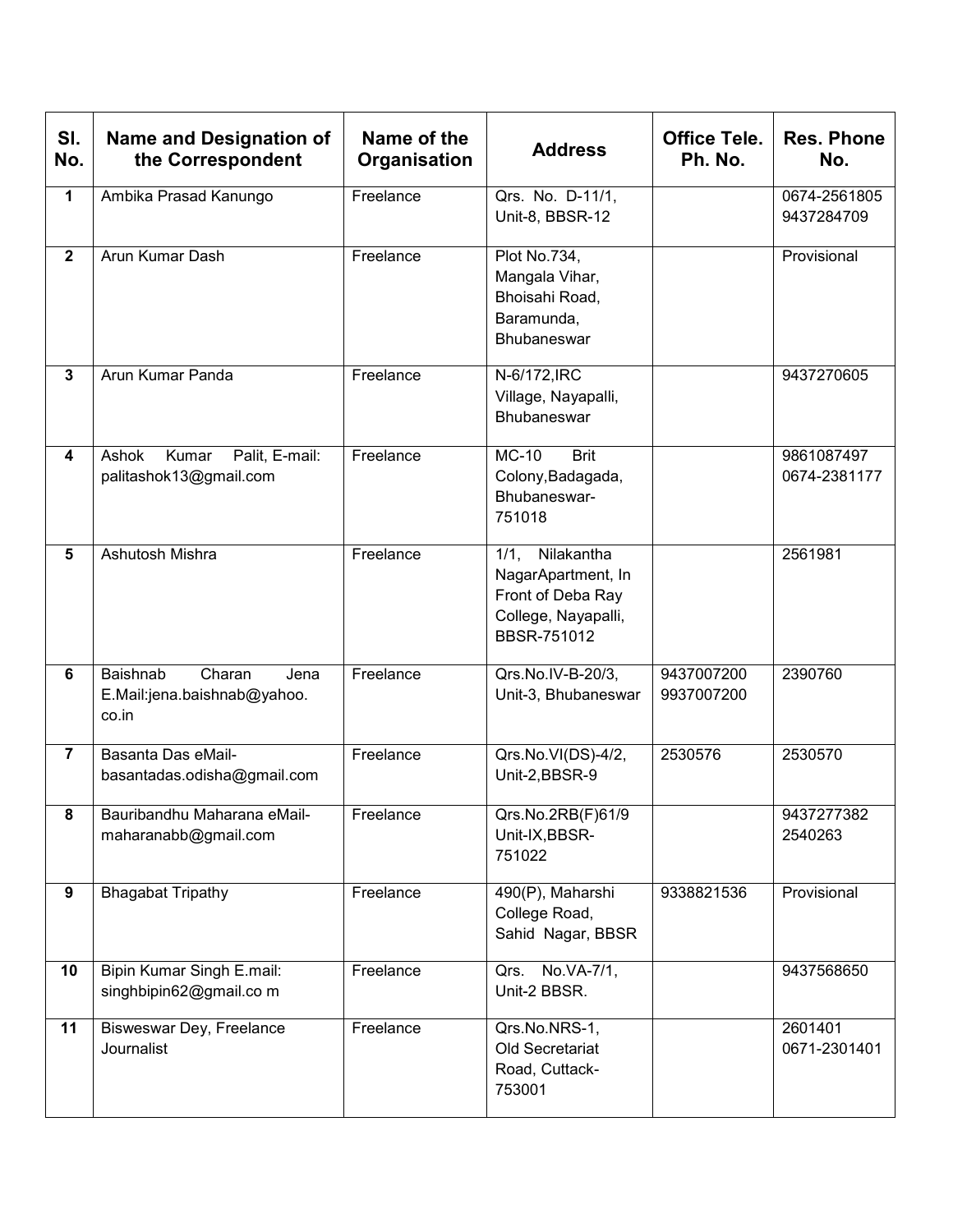| SI.<br>No.     | <b>Name and Designation of</b><br>the Correspondent                | Name of the<br>Organisation | <b>Address</b>                                                                                          | <b>Office Tele.</b><br>Ph. No. | <b>Res. Phone</b><br>No.   |
|----------------|--------------------------------------------------------------------|-----------------------------|---------------------------------------------------------------------------------------------------------|--------------------------------|----------------------------|
| $\mathbf{1}$   | Ambika Prasad Kanungo                                              | Freelance                   | Qrs. No. D-11/1,<br>Unit-8, BBSR-12                                                                     |                                | 0674-2561805<br>9437284709 |
| $\overline{2}$ | Arun Kumar Dash                                                    | Freelance                   | Plot No.734,<br>Mangala Vihar,<br>Bhoisahi Road,<br>Baramunda,<br>Bhubaneswar                           |                                | Provisional                |
| $\mathbf{3}$   | Arun Kumar Panda                                                   | Freelance                   | N-6/172, IRC<br>Village, Nayapalli,<br>Bhubaneswar                                                      |                                | 9437270605                 |
| 4              | Ashok<br>Palit, E-mail:<br>Kumar<br>palitashok13@gmail.com         | Freelance                   | <b>Brit</b><br><b>MC-10</b><br>Colony, Badagada,<br>Bhubaneswar-<br>751018                              |                                | 9861087497<br>0674-2381177 |
| 5              | Ashutosh Mishra                                                    | Freelance                   | 1/1, Nilakantha<br>NagarApartment, In<br>Front of Deba Ray<br>College, Nayapalli,<br><b>BBSR-751012</b> |                                | 2561981                    |
| 6              | Baishnab<br>Charan<br>Jena<br>E.Mail:jena.baishnab@yahoo.<br>co.in | Freelance                   | Qrs.No.IV-B-20/3,<br>Unit-3, Bhubaneswar                                                                | 9437007200<br>9937007200       | 2390760                    |
| $\overline{7}$ | Basanta Das eMail-<br>basantadas.odisha@gmail.com                  | Freelance                   | Qrs.No.VI(DS)-4/2,<br>Unit-2,BBSR-9                                                                     | 2530576                        | 2530570                    |
| 8              | Bauribandhu Maharana eMail-<br>maharanabb@gmail.com                | Freelance                   | Qrs.No.2RB(F)61/9<br>Unit-IX, BBSR-<br>751022                                                           |                                | 9437277382<br>2540263      |
| 9              | <b>Bhagabat Tripathy</b>                                           | Freelance                   | 490(P), Maharshi<br>College Road,<br>Sahid Nagar, BBSR                                                  | 9338821536                     | Provisional                |
| 10             | Bipin Kumar Singh E.mail:<br>singhbipin62@gmail.co m               | Freelance                   | Qrs. No.VA-7/1,<br>Unit-2 BBSR.                                                                         |                                | 9437568650                 |
| 11             | Bisweswar Dey, Freelance<br><b>Journalist</b>                      | Freelance                   | Qrs.No.NRS-1,<br>Old Secretariat<br>Road, Cuttack-<br>753001                                            |                                | 2601401<br>0671-2301401    |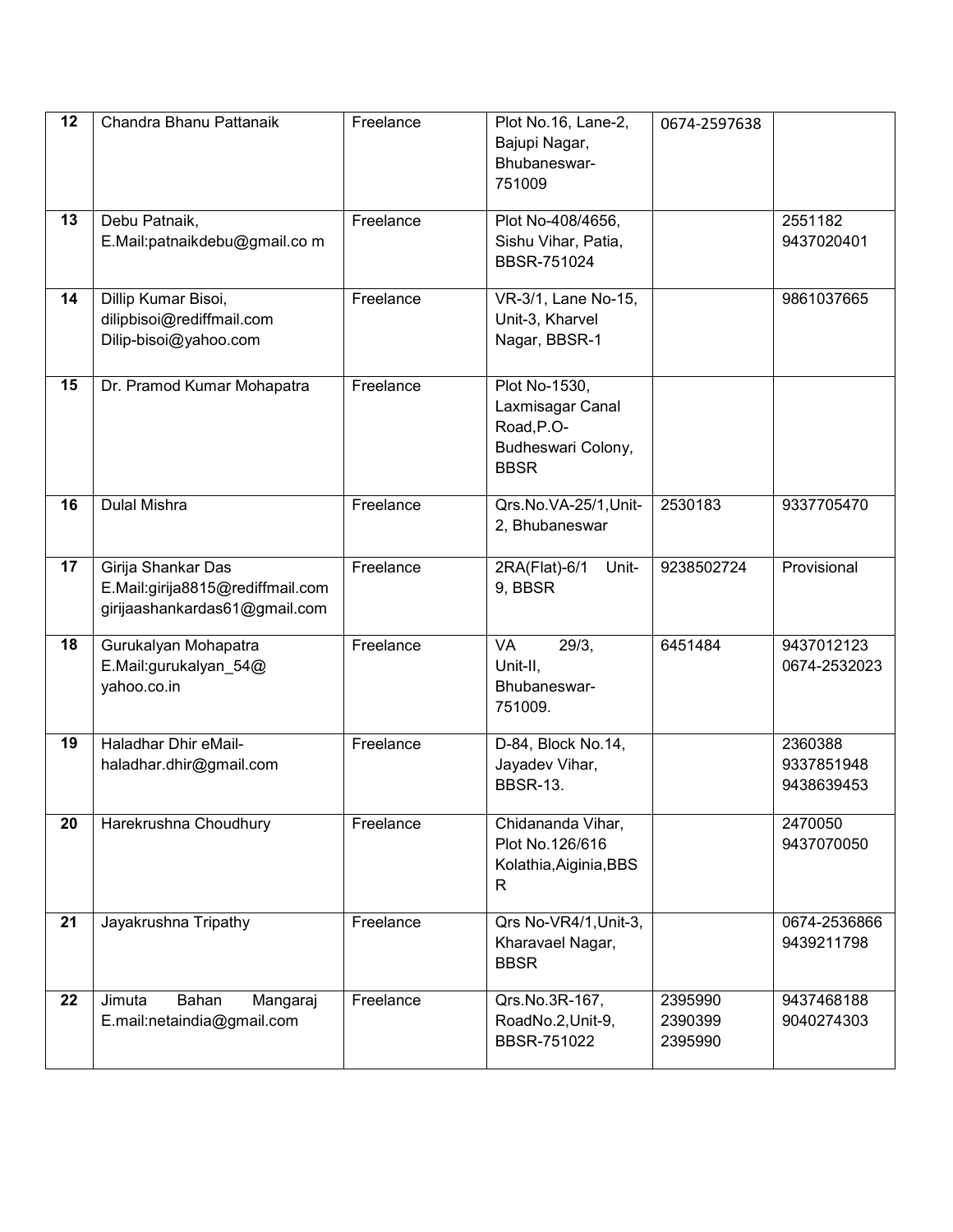| 12 | Chandra Bhanu Pattanaik                                                                 | Freelance | Plot No.16, Lane-2,<br>Bajupi Nagar,<br>Bhubaneswar-<br>751009                       | 0674-2597638                  |                                     |
|----|-----------------------------------------------------------------------------------------|-----------|--------------------------------------------------------------------------------------|-------------------------------|-------------------------------------|
| 13 | Debu Patnaik,<br>E.Mail:patnaikdebu@gmail.co m                                          | Freelance | Plot No-408/4656,<br>Sishu Vihar, Patia,                                             |                               | 2551182<br>9437020401               |
| 14 | Dillip Kumar Bisoi,<br>dilipbisoi@rediffmail.com<br>Dilip-bisoi@yahoo.com               | Freelance | BBSR-751024<br>VR-3/1, Lane No-15,<br>Unit-3, Kharvel<br>Nagar, BBSR-1               |                               | 9861037665                          |
| 15 | Dr. Pramod Kumar Mohapatra                                                              | Freelance | Plot No-1530,<br>Laxmisagar Canal<br>Road, P.O-<br>Budheswari Colony,<br><b>BBSR</b> |                               |                                     |
| 16 | Dulal Mishra                                                                            | Freelance | Qrs.No.VA-25/1,Unit-<br>2, Bhubaneswar                                               | 2530183                       | 9337705470                          |
| 17 | Girija Shankar Das<br>E.Mail:girija8815@rediffmail.com<br>girijaashankardas61@gmail.com | Freelance | 2RA(Flat)-6/1<br>Unit-<br>9, BBSR                                                    | 9238502724                    | Provisional                         |
| 18 | Gurukalyan Mohapatra<br>E.Mail:gurukalyan_54@<br>yahoo.co.in                            | Freelance | 29/3,<br>VA<br>Unit-II,<br>Bhubaneswar-<br>751009.                                   | 6451484                       | 9437012123<br>0674-2532023          |
| 19 | <b>Haladhar Dhir eMail-</b><br>haladhar.dhir@gmail.com                                  | Freelance | D-84, Block No.14,<br>Jayadev Vihar,<br><b>BBSR-13.</b>                              |                               | 2360388<br>9337851948<br>9438639453 |
| 20 | Harekrushna Choudhury                                                                   | Freelance | Chidananda Vihar,<br>Plot No.126/616<br>Kolathia, Aiginia, BBS<br>R                  |                               | 2470050<br>9437070050               |
| 21 | Jayakrushna Tripathy                                                                    | Freelance | Qrs No-VR4/1, Unit-3,<br>Kharavael Nagar,<br><b>BBSR</b>                             |                               | 0674-2536866<br>9439211798          |
| 22 | Jimuta<br>Bahan<br>Mangaraj<br>E.mail:netaindia@gmail.com                               | Freelance | Qrs.No.3R-167,<br>RoadNo.2, Unit-9,<br>BBSR-751022                                   | 2395990<br>2390399<br>2395990 | 9437468188<br>9040274303            |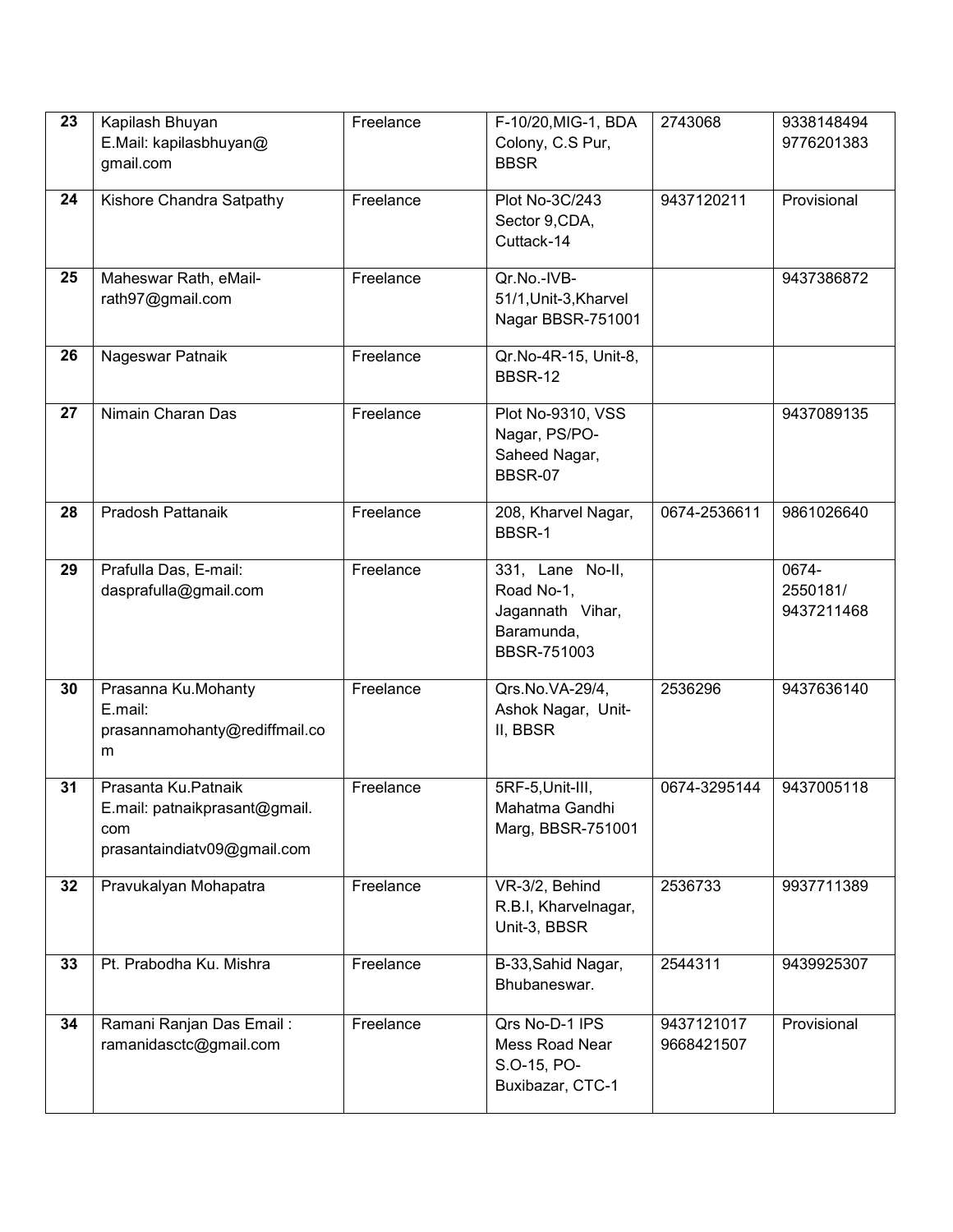| 23 | Kapilash Bhuyan<br>E.Mail: kapilasbhuyan@<br>gmail.com                                     | Freelance | F-10/20, MIG-1, BDA<br>Colony, C.S Pur,<br><b>BBSR</b>                                 | 2743068                  | 9338148494<br>9776201383        |
|----|--------------------------------------------------------------------------------------------|-----------|----------------------------------------------------------------------------------------|--------------------------|---------------------------------|
| 24 | Kishore Chandra Satpathy                                                                   | Freelance | Plot No-3C/243<br>Sector 9, CDA,<br>Cuttack-14                                         | 9437120211               | Provisional                     |
| 25 | Maheswar Rath, eMail-<br>rath97@gmail.com                                                  | Freelance | Qr.No.-IVB-<br>51/1, Unit-3, Kharvel<br>Nagar BBSR-751001                              |                          | 9437386872                      |
| 26 | Nageswar Patnaik                                                                           | Freelance | Qr.No-4R-15, Unit-8,<br><b>BBSR-12</b>                                                 |                          |                                 |
| 27 | Nimain Charan Das                                                                          | Freelance | Plot No-9310, VSS<br>Nagar, PS/PO-<br>Saheed Nagar,<br><b>BBSR-07</b>                  |                          | 9437089135                      |
| 28 | Pradosh Pattanaik                                                                          | Freelance | 208, Kharvel Nagar,<br>BBSR-1                                                          | 0674-2536611             | 9861026640                      |
| 29 | Prafulla Das, E-mail:<br>dasprafulla@gmail.com                                             | Freelance | 331, Lane No-II,<br>Road No-1,<br>Jagannath Vihar,<br>Baramunda,<br><b>BBSR-751003</b> |                          | 0674-<br>2550181/<br>9437211468 |
| 30 | Prasanna Ku.Mohanty<br>E.mail:<br>prasannamohanty@rediffmail.co<br>m                       | Freelance | Qrs.No.VA-29/4,<br>Ashok Nagar, Unit-<br>II, BBSR                                      | 2536296                  | 9437636140                      |
| 31 | Prasanta Ku.Patnaik<br>E.mail: patnaikprasant@gmail.<br>com<br>prasantaindiatv09@gmail.com | Freelance | 5RF-5, Unit-III,<br>Mahatma Gandhi<br>Marg, BBSR-751001                                | 0674-3295144             | 9437005118                      |
| 32 | Pravukalyan Mohapatra                                                                      | Freelance | VR-3/2, Behind<br>R.B.I, Kharvelnagar,<br>Unit-3, BBSR                                 | 2536733                  | 9937711389                      |
| 33 | Pt. Prabodha Ku. Mishra                                                                    | Freelance | B-33, Sahid Nagar,<br>Bhubaneswar.                                                     | 2544311                  | 9439925307                      |
| 34 | Ramani Ranjan Das Email:<br>ramanidasctc@gmail.com                                         | Freelance | Qrs No-D-1 IPS<br>Mess Road Near<br>S.O-15, PO-<br>Buxibazar, CTC-1                    | 9437121017<br>9668421507 | Provisional                     |